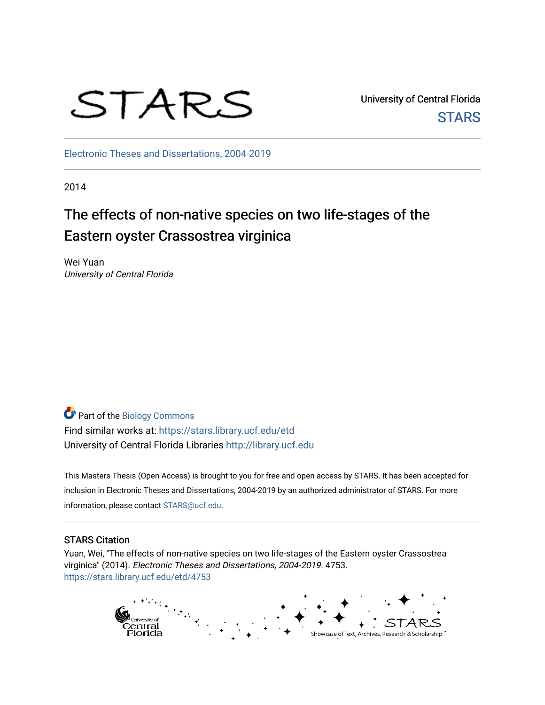

University of Central Florida **STARS** 

[Electronic Theses and Dissertations, 2004-2019](https://stars.library.ucf.edu/etd) 

2014

# The effects of non-native species on two life-stages of the Eastern oyster Crassostrea virginica

Wei Yuan University of Central Florida

Part of the [Biology Commons](http://network.bepress.com/hgg/discipline/41?utm_source=stars.library.ucf.edu%2Fetd%2F4753&utm_medium=PDF&utm_campaign=PDFCoverPages)  Find similar works at: <https://stars.library.ucf.edu/etd> University of Central Florida Libraries [http://library.ucf.edu](http://library.ucf.edu/) 

This Masters Thesis (Open Access) is brought to you for free and open access by STARS. It has been accepted for inclusion in Electronic Theses and Dissertations, 2004-2019 by an authorized administrator of STARS. For more information, please contact [STARS@ucf.edu.](mailto:STARS@ucf.edu)

# STARS Citation

Yuan, Wei, "The effects of non-native species on two life-stages of the Eastern oyster Crassostrea virginica" (2014). Electronic Theses and Dissertations, 2004-2019. 4753. [https://stars.library.ucf.edu/etd/4753](https://stars.library.ucf.edu/etd/4753?utm_source=stars.library.ucf.edu%2Fetd%2F4753&utm_medium=PDF&utm_campaign=PDFCoverPages) 

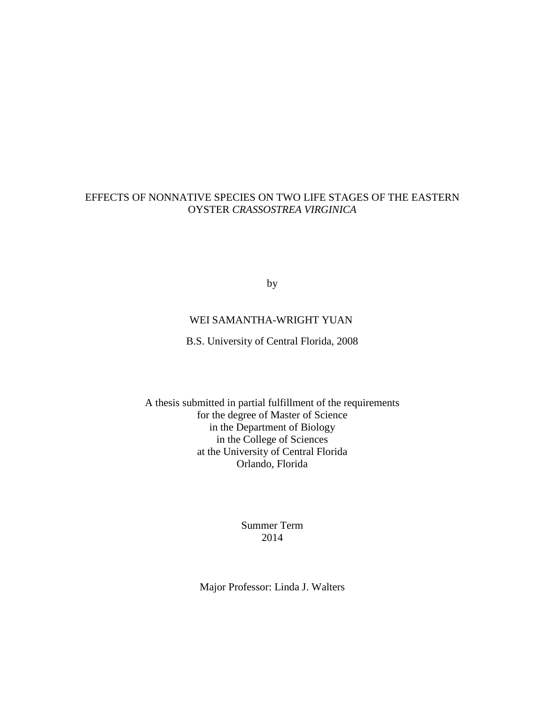# EFFECTS OF NONNATIVE SPECIES ON TWO LIFE STAGES OF THE EASTERN OYSTER *CRASSOSTREA VIRGINICA*

by

# WEI SAMANTHA-WRIGHT YUAN

B.S. University of Central Florida, 2008

A thesis submitted in partial fulfillment of the requirements for the degree of Master of Science in the Department of Biology in the College of Sciences at the University of Central Florida Orlando, Florida

> Summer Term 2014

Major Professor: Linda J. Walters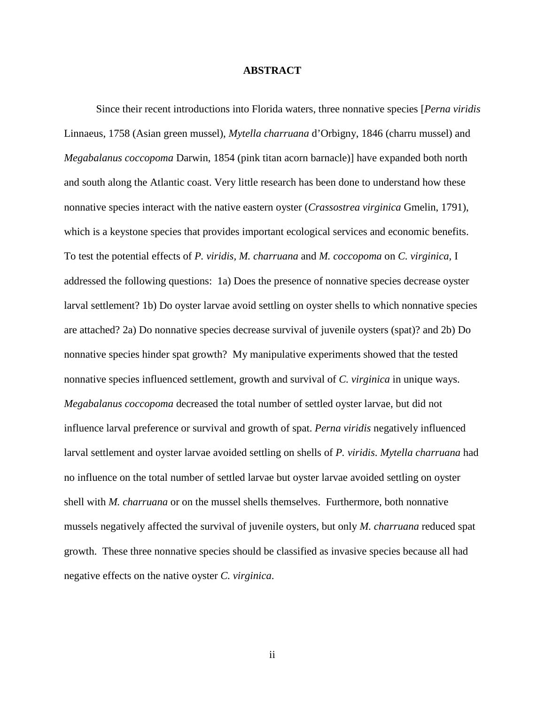#### **ABSTRACT**

Since their recent introductions into Florida waters, three nonnative species [*Perna viridis* Linnaeus, 1758 (Asian green mussel), *Mytella charruana* d'Orbigny, 1846 (charru mussel) and *Megabalanus coccopoma* Darwin, 1854 (pink titan acorn barnacle)] have expanded both north and south along the Atlantic coast. Very little research has been done to understand how these nonnative species interact with the native eastern oyster (*Crassostrea virginica* Gmelin, 1791), which is a keystone species that provides important ecological services and economic benefits. To test the potential effects of *P. viridis, M. charruana* and *M. coccopoma* on *C. virginica,* I addressed the following questions: 1a) Does the presence of nonnative species decrease oyster larval settlement? 1b) Do oyster larvae avoid settling on oyster shells to which nonnative species are attached? 2a) Do nonnative species decrease survival of juvenile oysters (spat)? and 2b) Do nonnative species hinder spat growth? My manipulative experiments showed that the tested nonnative species influenced settlement, growth and survival of *C. virginica* in unique ways. *Megabalanus coccopoma* decreased the total number of settled oyster larvae, but did not influence larval preference or survival and growth of spat. *Perna viridis* negatively influenced larval settlement and oyster larvae avoided settling on shells of *P. viridis*. *Mytella charruana* had no influence on the total number of settled larvae but oyster larvae avoided settling on oyster shell with *M. charruana* or on the mussel shells themselves. Furthermore, both nonnative mussels negatively affected the survival of juvenile oysters, but only *M. charruana* reduced spat growth. These three nonnative species should be classified as invasive species because all had negative effects on the native oyster *C. virginica*.

ii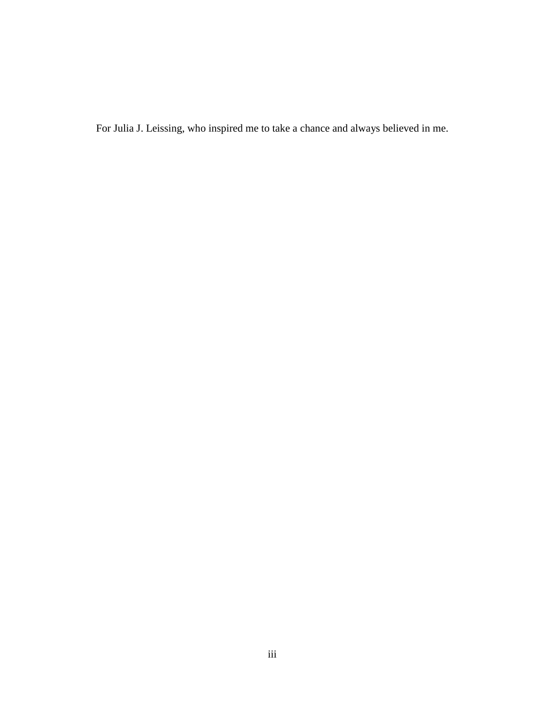For Julia J. Leissing, who inspired me to take a chance and always believed in me.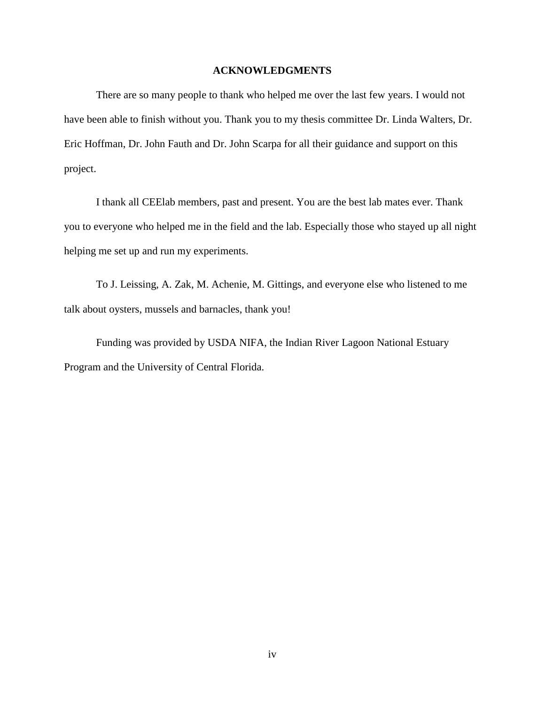### **ACKNOWLEDGMENTS**

There are so many people to thank who helped me over the last few years. I would not have been able to finish without you. Thank you to my thesis committee Dr. Linda Walters, Dr. Eric Hoffman, Dr. John Fauth and Dr. John Scarpa for all their guidance and support on this project.

I thank all CEElab members, past and present. You are the best lab mates ever. Thank you to everyone who helped me in the field and the lab. Especially those who stayed up all night helping me set up and run my experiments.

To J. Leissing, A. Zak, M. Achenie, M. Gittings, and everyone else who listened to me talk about oysters, mussels and barnacles, thank you!

Funding was provided by USDA NIFA, the Indian River Lagoon National Estuary Program and the University of Central Florida.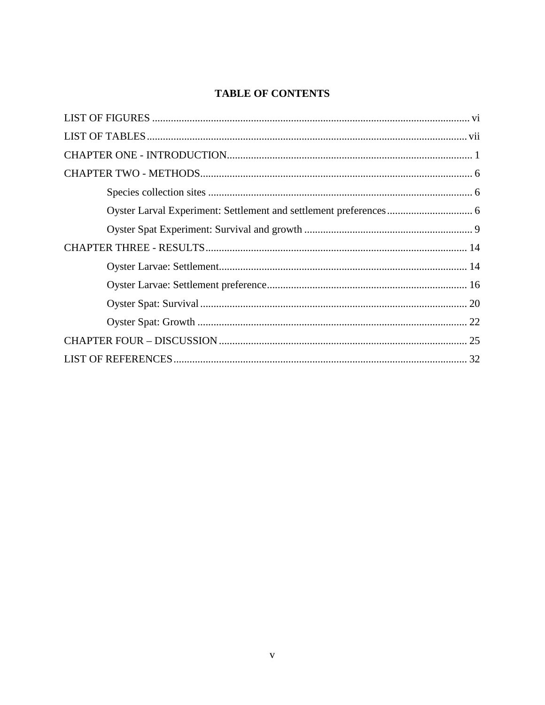# **TABLE OF CONTENTS**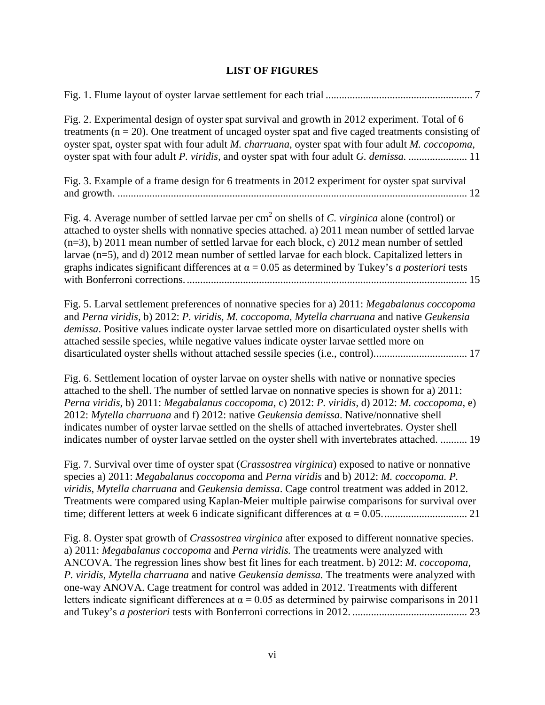# **LIST OF FIGURES**

<span id="page-6-0"></span>[Fig. 1. Flume layout of oyster larvae settlement for each trial](#page-14-0) ....................................................... 7

| Fig. 2. Experimental design of oyster spat survival and growth in 2012 experiment. Total of 6<br>treatments ( $n = 20$ ). One treatment of uncaged oyster spat and five caged treatments consisting of<br>oyster spat, oyster spat with four adult M. charruana, oyster spat with four adult M. coccopoma,<br>oyster spat with four adult P. viridis, and oyster spat with four adult G. demissa.  11                                                                                                                                                                                           |
|-------------------------------------------------------------------------------------------------------------------------------------------------------------------------------------------------------------------------------------------------------------------------------------------------------------------------------------------------------------------------------------------------------------------------------------------------------------------------------------------------------------------------------------------------------------------------------------------------|
| Fig. 3. Example of a frame design for 6 treatments in 2012 experiment for oyster spat survival                                                                                                                                                                                                                                                                                                                                                                                                                                                                                                  |
| Fig. 4. Average number of settled larvae per $cm2$ on shells of C. virginica alone (control) or<br>attached to oyster shells with nonnative species attached. a) 2011 mean number of settled larvae<br>$(n=3)$ , b) 2011 mean number of settled larvae for each block, c) 2012 mean number of settled<br>larvae (n=5), and d) 2012 mean number of settled larvae for each block. Capitalized letters in<br>graphs indicates significant differences at $\alpha = 0.05$ as determined by Tukey's <i>a posteriori</i> tests                                                                       |
| Fig. 5. Larval settlement preferences of nonnative species for a) 2011: Megabalanus coccopoma<br>and Perna viridis, b) 2012: P. viridis, M. coccopoma, Mytella charruana and native Geukensia<br>demissa. Positive values indicate oyster larvae settled more on disarticulated oyster shells with<br>attached sessile species, while negative values indicate oyster larvae settled more on<br>disarticulated oyster shells without attached sessile species (i.e., control) 17                                                                                                                |
| Fig. 6. Settlement location of oyster larvae on oyster shells with native or nonnative species<br>attached to the shell. The number of settled larvae on nonnative species is shown for a) 2011:<br>Perna viridis, b) 2011: Megabalanus coccopoma, c) 2012: P. viridis, d) 2012: M. coccopoma, e)<br>2012: Mytella charruana and f) 2012: native Geukensia demissa. Native/nonnative shell<br>indicates number of oyster larvae settled on the shells of attached invertebrates. Oyster shell<br>indicates number of oyster larvae settled on the oyster shell with invertebrates attached.  19 |
| Fig. 7. Survival over time of oyster spat (Crassostrea virginica) exposed to native or nonnative<br>species a) 2011: Megabalanus coccopoma and Perna viridis and b) 2012: M. coccopoma. P.<br>viridis, Mytella charruana and Geukensia demissa. Cage control treatment was added in 2012.<br>Treatments were compared using Kaplan-Meier multiple pairwise comparisons for survival over                                                                                                                                                                                                        |
| Fig. 8. Oyster spat growth of <i>Crassostrea virginica</i> after exposed to different nonnative species.<br>a) 2011: Megabalanus coccopoma and Perna viridis. The treatments were analyzed with<br>ANCOVA. The regression lines show best fit lines for each treatment. b) 2012: M. coccopoma,<br>P. viridis, Mytella charruana and native Geukensia demissa. The treatments were analyzed with<br>one-way ANOVA. Cage treatment for control was added in 2012. Treatments with different                                                                                                       |

letters indicate significant differences at  $\alpha$  = 0.05 as determined by pairwise comparisons in 2011 and Tukey's *a posteriori* [tests with Bonferroni corrections in 2012.](#page-30-0) ........................................... 23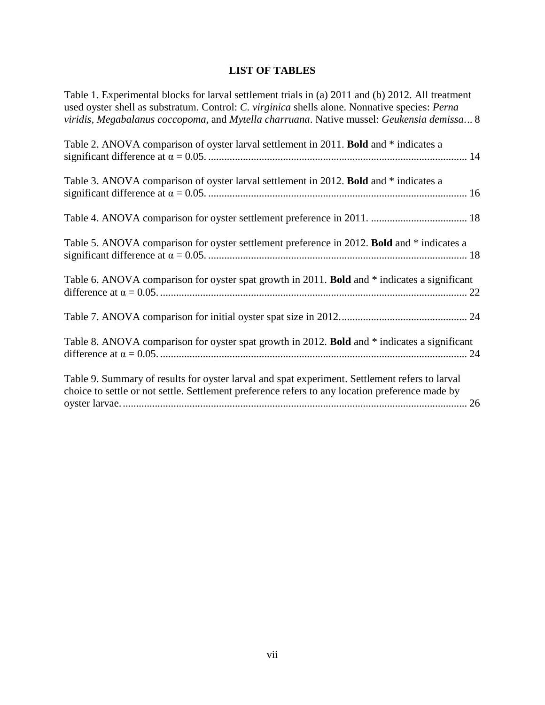# **LIST OF TABLES**

<span id="page-7-0"></span>

| Table 1. Experimental blocks for larval settlement trials in (a) 2011 and (b) 2012. All treatment<br>used oyster shell as substratum. Control: C. virginica shells alone. Nonnative species: Perna<br>viridis, Megabalanus coccopoma, and Mytella charruana. Native mussel: Geukensia demissa 8 |
|-------------------------------------------------------------------------------------------------------------------------------------------------------------------------------------------------------------------------------------------------------------------------------------------------|
| Table 2. ANOVA comparison of oyster larval settlement in 2011. Bold and * indicates a                                                                                                                                                                                                           |
| Table 3. ANOVA comparison of oyster larval settlement in 2012. Bold and * indicates a                                                                                                                                                                                                           |
|                                                                                                                                                                                                                                                                                                 |
| Table 5. ANOVA comparison for oyster settlement preference in 2012. Bold and * indicates a                                                                                                                                                                                                      |
| Table 6. ANOVA comparison for oyster spat growth in 2011. Bold and * indicates a significant                                                                                                                                                                                                    |
|                                                                                                                                                                                                                                                                                                 |
| Table 8. ANOVA comparison for oyster spat growth in 2012. Bold and * indicates a significant                                                                                                                                                                                                    |
| Table 9. Summary of results for oyster larval and spat experiment. Settlement refers to larval<br>choice to settle or not settle. Settlement preference refers to any location preference made by                                                                                               |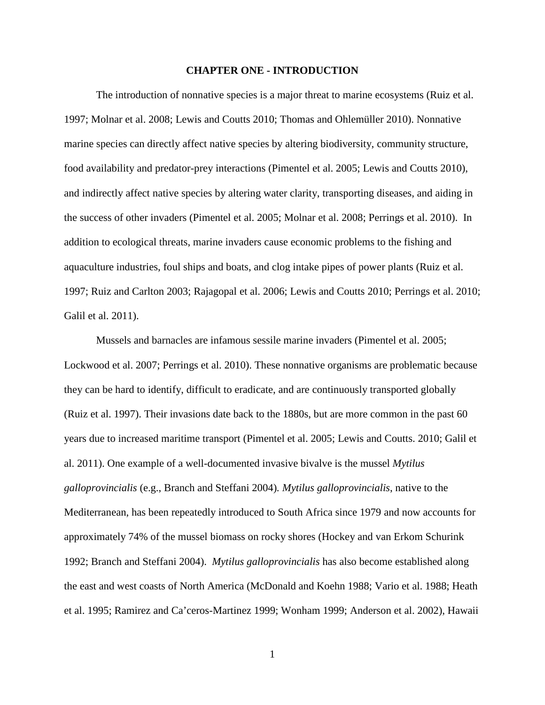#### **CHAPTER ONE - INTRODUCTION**

<span id="page-8-0"></span>The introduction of nonnative species is a major threat to marine ecosystems (Ruiz et al. 1997; Molnar et al. 2008; Lewis and Coutts 2010; Thomas and Ohlemüller 2010). Nonnative marine species can directly affect native species by altering biodiversity, community structure, food availability and predator-prey interactions (Pimentel et al. 2005; Lewis and Coutts 2010), and indirectly affect native species by altering water clarity, transporting diseases, and aiding in the success of other invaders (Pimentel et al. 2005; Molnar et al. 2008; Perrings et al. 2010). In addition to ecological threats, marine invaders cause economic problems to the fishing and aquaculture industries, foul ships and boats, and clog intake pipes of power plants (Ruiz et al. 1997; Ruiz and Carlton 2003; Rajagopal et al. 2006; Lewis and Coutts 2010; Perrings et al. 2010; Galil et al. 2011).

Mussels and barnacles are infamous sessile marine invaders (Pimentel et al. 2005; Lockwood et al. 2007; Perrings et al. 2010). These nonnative organisms are problematic because they can be hard to identify, difficult to eradicate, and are continuously transported globally (Ruiz et al. 1997). Their invasions date back to the 1880s, but are more common in the past 60 years due to increased maritime transport (Pimentel et al. 2005; Lewis and Coutts. 2010; Galil et al. 2011). One example of a well-documented invasive bivalve is the mussel *Mytilus galloprovincialis* (e.g., Branch and Steffani 2004)*. Mytilus galloprovincialis*, native to the Mediterranean, has been repeatedly introduced to South Africa since 1979 and now accounts for approximately 74% of the mussel biomass on rocky shores (Hockey and van Erkom Schurink 1992; Branch and Steffani 2004). *Mytilus galloprovincialis* has also become established along the east and west coasts of North America (McDonald and Koehn 1988; Vario et al. 1988; Heath et al. 1995; Ramirez and Ca'ceros-Martinez 1999; Wonham 1999; Anderson et al. 2002), Hawaii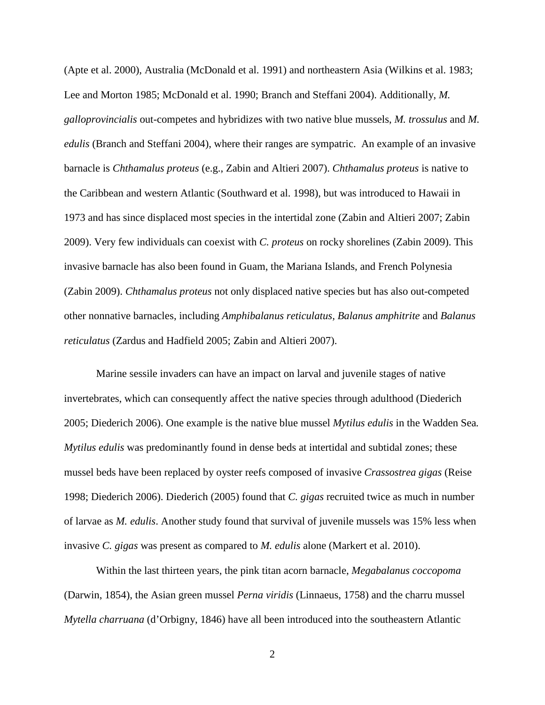(Apte et al. 2000), Australia (McDonald et al. 1991) and northeastern Asia (Wilkins et al. 1983; Lee and Morton 1985; McDonald et al. 1990; Branch and Steffani 2004). Additionally, *M. galloprovincialis* out-competes and hybridizes with two native blue mussels, *M. trossulus* and *M. edulis* (Branch and Steffani 2004), where their ranges are sympatric. An example of an invasive barnacle is *Chthamalus proteus* (e.g., Zabin and Altieri 2007). *Chthamalus proteus* is native to the Caribbean and western Atlantic (Southward et al. 1998), but was introduced to Hawaii in 1973 and has since displaced most species in the intertidal zone (Zabin and Altieri 2007; Zabin 2009). Very few individuals can coexist with *C. proteus* on rocky shorelines (Zabin 2009). This invasive barnacle has also been found in Guam, the Mariana Islands, and French Polynesia (Zabin 2009). *Chthamalus proteus* not only displaced native species but has also out-competed other nonnative barnacles, including *Amphibalanus reticulatus, Balanus amphitrite* and *Balanus reticulatus* (Zardus and Hadfield 2005; Zabin and Altieri 2007).

Marine sessile invaders can have an impact on larval and juvenile stages of native invertebrates, which can consequently affect the native species through adulthood (Diederich 2005; Diederich 2006). One example is the native blue mussel *Mytilus edulis* in the Wadden Sea*. Mytilus edulis* was predominantly found in dense beds at intertidal and subtidal zones; these mussel beds have been replaced by oyster reefs composed of invasive *Crassostrea gigas* (Reise 1998; Diederich 2006). Diederich (2005) found that *C. gigas* recruited twice as much in number of larvae as *M. edulis*. Another study found that survival of juvenile mussels was 15% less when invasive *C. gigas* was present as compared to *M. edulis* alone (Markert et al. 2010).

Within the last thirteen years, the pink titan acorn barnacle, *Megabalanus coccopoma*  (Darwin, 1854), the Asian green mussel *Perna viridis* (Linnaeus, 1758) and the charru mussel *Mytella charruana* (d'Orbigny, 1846) have all been introduced into the southeastern Atlantic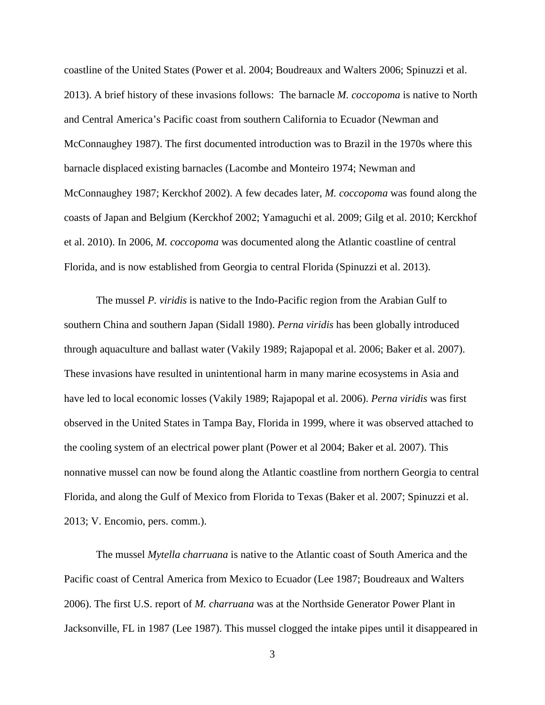coastline of the United States (Power et al. 2004; Boudreaux and Walters 2006; Spinuzzi et al. 2013). A brief history of these invasions follows: The barnacle *M. coccopoma* is native to North and Central America's Pacific coast from southern California to Ecuador (Newman and McConnaughey 1987). The first documented introduction was to Brazil in the 1970s where this barnacle displaced existing barnacles (Lacombe and Monteiro 1974; Newman and McConnaughey 1987; Kerckhof 2002). A few decades later, *M. coccopoma* was found along the coasts of Japan and Belgium (Kerckhof 2002; Yamaguchi et al. 2009; Gilg et al. 2010; Kerckhof et al. 2010). In 2006, *M. coccopoma* was documented along the Atlantic coastline of central Florida, and is now established from Georgia to central Florida (Spinuzzi et al. 2013).

The mussel *P. viridis* is native to the Indo-Pacific region from the Arabian Gulf to southern China and southern Japan (Sidall 1980). *Perna viridis* has been globally introduced through aquaculture and ballast water (Vakily 1989; Rajapopal et al. 2006; Baker et al. 2007). These invasions have resulted in unintentional harm in many marine ecosystems in Asia and have led to local economic losses (Vakily 1989; Rajapopal et al. 2006). *Perna viridis* was first observed in the United States in Tampa Bay, Florida in 1999, where it was observed attached to the cooling system of an electrical power plant (Power et al 2004; Baker et al. 2007). This nonnative mussel can now be found along the Atlantic coastline from northern Georgia to central Florida, and along the Gulf of Mexico from Florida to Texas (Baker et al. 2007; Spinuzzi et al. 2013; V. Encomio, pers. comm.).

The mussel *Mytella charruana* is native to the Atlantic coast of South America and the Pacific coast of Central America from Mexico to Ecuador (Lee 1987; Boudreaux and Walters 2006). The first U.S. report of *M. charruana* was at the Northside Generator Power Plant in Jacksonville, FL in 1987 (Lee 1987). This mussel clogged the intake pipes until it disappeared in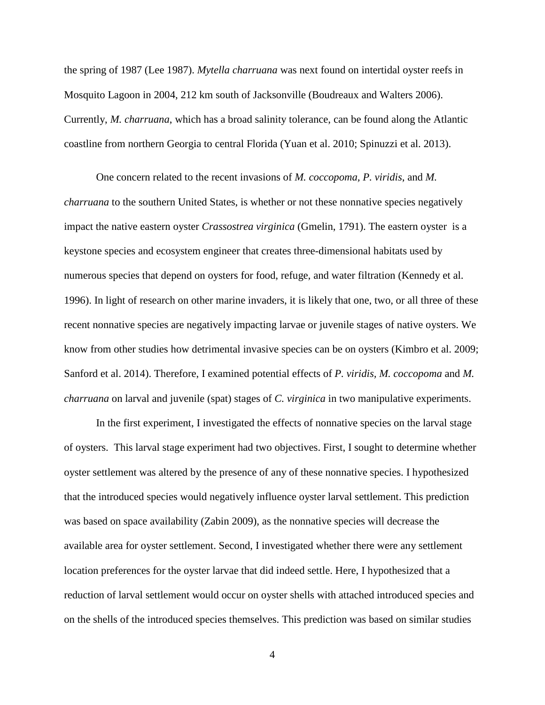the spring of 1987 (Lee 1987). *Mytella charruana* was next found on intertidal oyster reefs in Mosquito Lagoon in 2004, 212 km south of Jacksonville (Boudreaux and Walters 2006). Currently, *M. charruana*, which has a broad salinity tolerance, can be found along the Atlantic coastline from northern Georgia to central Florida (Yuan et al. 2010; Spinuzzi et al. 2013).

One concern related to the recent invasions of *M. coccopoma, P. viridis*, and *M. charruana* to the southern United States, is whether or not these nonnative species negatively impact the native eastern oyster *Crassostrea virginica* (Gmelin, 1791). The eastern oyster is a keystone species and ecosystem engineer that creates three-dimensional habitats used by numerous species that depend on oysters for food, refuge, and water filtration (Kennedy et al. 1996). In light of research on other marine invaders, it is likely that one, two, or all three of these recent nonnative species are negatively impacting larvae or juvenile stages of native oysters. We know from other studies how detrimental invasive species can be on oysters (Kimbro et al. 2009; Sanford et al. 2014). Therefore, I examined potential effects of *P. viridis, M. coccopoma* and *M. charruana* on larval and juvenile (spat) stages of *C. virginica* in two manipulative experiments.

In the first experiment, I investigated the effects of nonnative species on the larval stage of oysters. This larval stage experiment had two objectives. First, I sought to determine whether oyster settlement was altered by the presence of any of these nonnative species. I hypothesized that the introduced species would negatively influence oyster larval settlement. This prediction was based on space availability (Zabin 2009), as the nonnative species will decrease the available area for oyster settlement. Second, I investigated whether there were any settlement location preferences for the oyster larvae that did indeed settle. Here, I hypothesized that a reduction of larval settlement would occur on oyster shells with attached introduced species and on the shells of the introduced species themselves. This prediction was based on similar studies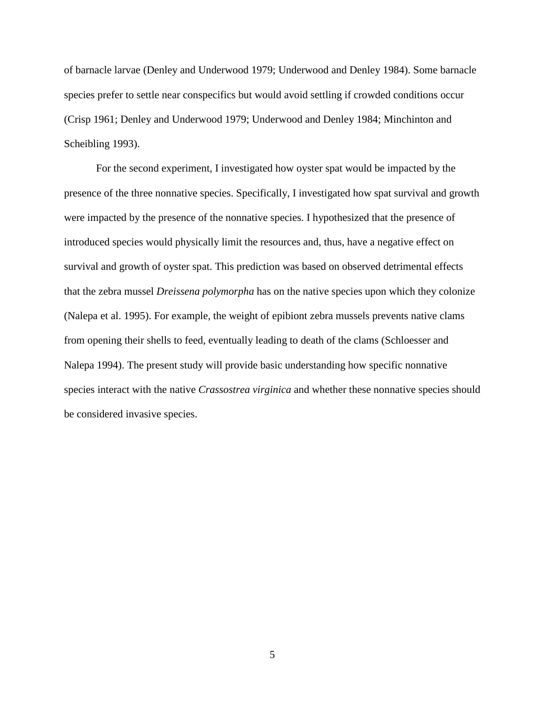of barnacle larvae (Denley and Underwood 1979; Underwood and Denley 1984). Some barnacle species prefer to settle near conspecifics but would avoid settling if crowded conditions occur (Crisp 1961; Denley and Underwood 1979; Underwood and Denley 1984; Minchinton and Scheibling 1993).

For the second experiment, I investigated how oyster spat would be impacted by the presence of the three nonnative species. Specifically, I investigated how spat survival and growth were impacted by the presence of the nonnative species. I hypothesized that the presence of introduced species would physically limit the resources and, thus, have a negative effect on survival and growth of oyster spat. This prediction was based on observed detrimental effects that the zebra mussel *Dreissena polymorpha* has on the native species upon which they colonize (Nalepa et al. 1995). For example, the weight of epibiont zebra mussels prevents native clams from opening their shells to feed, eventually leading to death of the clams (Schloesser and Nalepa 1994). The present study will provide basic understanding how specific nonnative species interact with the native *Crassostrea virginica* and whether these nonnative species should be considered invasive species.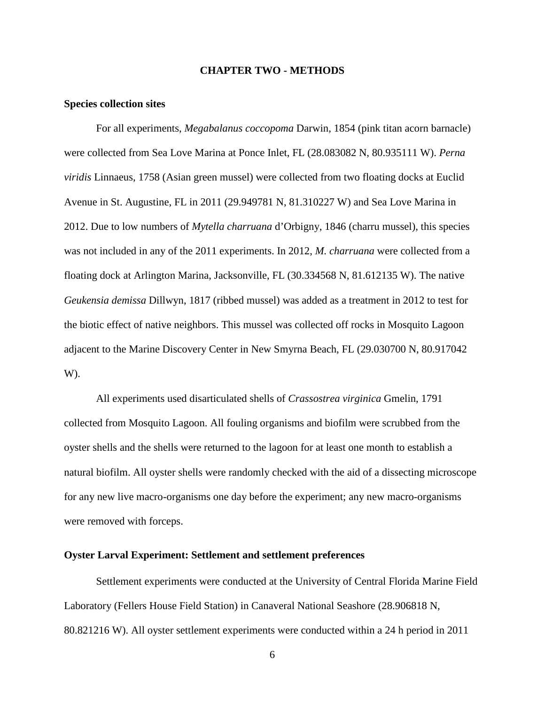#### **CHAPTER TWO - METHODS**

#### <span id="page-13-1"></span><span id="page-13-0"></span>**Species collection sites**

For all experiments, *Megabalanus coccopoma* Darwin, 1854 (pink titan acorn barnacle) were collected from Sea Love Marina at Ponce Inlet, FL (28.083082 N, 80.935111 W). *Perna viridis* Linnaeus, 1758 (Asian green mussel) were collected from two floating docks at Euclid Avenue in St. Augustine, FL in 2011 (29.949781 N, 81.310227 W) and Sea Love Marina in 2012. Due to low numbers of *Mytella charruana* d'Orbigny, 1846 (charru mussel), this species was not included in any of the 2011 experiments. In 2012, *M. charruana* were collected from a floating dock at Arlington Marina, Jacksonville, FL (30.334568 N, 81.612135 W). The native *Geukensia demissa* Dillwyn, 1817 (ribbed mussel) was added as a treatment in 2012 to test for the biotic effect of native neighbors. This mussel was collected off rocks in Mosquito Lagoon adjacent to the Marine Discovery Center in New Smyrna Beach, FL (29.030700 N, 80.917042 W).

All experiments used disarticulated shells of *Crassostrea virginica* Gmelin, 1791 collected from Mosquito Lagoon. All fouling organisms and biofilm were scrubbed from the oyster shells and the shells were returned to the lagoon for at least one month to establish a natural biofilm. All oyster shells were randomly checked with the aid of a dissecting microscope for any new live macro-organisms one day before the experiment; any new macro-organisms were removed with forceps.

### <span id="page-13-2"></span>**Oyster Larval Experiment: Settlement and settlement preferences**

Settlement experiments were conducted at the University of Central Florida Marine Field Laboratory (Fellers House Field Station) in Canaveral National Seashore (28.906818 N, 80.821216 W). All oyster settlement experiments were conducted within a 24 h period in 2011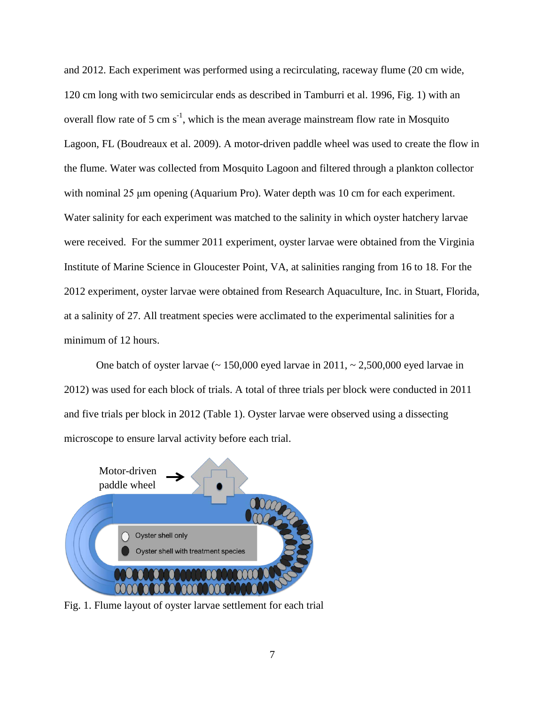and 2012. Each experiment was performed using a recirculating, raceway flume (20 cm wide, 120 cm long with two semicircular ends as described in Tamburri et al. 1996, Fig. 1) with an overall flow rate of 5 cm  $s^{-1}$ , which is the mean average mainstream flow rate in Mosquito Lagoon, FL (Boudreaux et al. 2009). A motor-driven paddle wheel was used to create the flow in the flume. Water was collected from Mosquito Lagoon and filtered through a plankton collector with nominal 25 μm opening (Aquarium Pro). Water depth was 10 cm for each experiment. Water salinity for each experiment was matched to the salinity in which oyster hatchery larvae were received. For the summer 2011 experiment, oyster larvae were obtained from the Virginia Institute of Marine Science in Gloucester Point, VA, at salinities ranging from 16 to 18. For the 2012 experiment, oyster larvae were obtained from Research Aquaculture, Inc. in Stuart, Florida, at a salinity of 27. All treatment species were acclimated to the experimental salinities for a minimum of 12 hours.

One batch of oyster larvae  $($  ~ 150,000 eyed larvae in 2011,  $\sim 2,500,000$  eyed larvae in 2012) was used for each block of trials. A total of three trials per block were conducted in 2011 and five trials per block in 2012 (Table 1). Oyster larvae were observed using a dissecting microscope to ensure larval activity before each trial.



<span id="page-14-0"></span>Fig. 1. Flume layout of oyster larvae settlement for each trial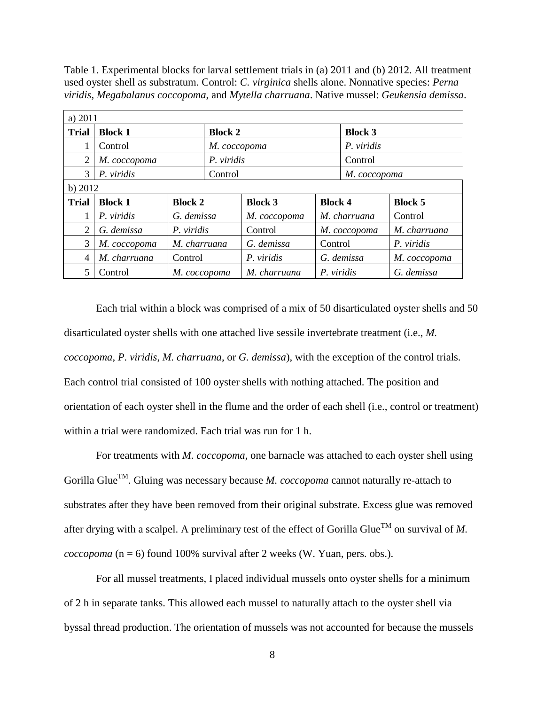<span id="page-15-0"></span>Table 1. Experimental blocks for larval settlement trials in (a) 2011 and (b) 2012. All treatment used oyster shell as substratum. Control: *C. virginica* shells alone. Nonnative species: *Perna viridis, Megabalanus coccopoma*, and *Mytella charruana*. Native mussel: *Geukensia demissa*.

| a) 2011        |                                  |              |                |                                  |            |                |                |
|----------------|----------------------------------|--------------|----------------|----------------------------------|------------|----------------|----------------|
| <b>Trial</b>   | <b>Block 1</b>                   |              | <b>Block 2</b> |                                  |            | <b>Block 3</b> |                |
|                | Control                          |              |                | М. соссорота                     |            |                |                |
| 2              | М. соссорота                     |              | P. viridis     |                                  |            | Control        |                |
| 3              | P. viridis                       |              | Control        |                                  |            | М. соссорота   |                |
| b) $2012$      |                                  |              |                |                                  |            |                |                |
| <b>Trial</b>   | <b>Block 1</b><br><b>Block 2</b> |              |                | <b>Block 4</b><br><b>Block 3</b> |            |                | <b>Block 5</b> |
|                | P. viridis                       | G. demissa   |                | М. соссорота                     |            | M. charruana   | Control        |
| $\overline{2}$ | G. demissa                       | P. viridis   |                | Control                          |            | М. соссорота   | M. charruana   |
| 3              | М. соссорота                     | M. charruana |                | G. demissa<br>Control            |            |                | P. viridis     |
| 4              | M. charruana                     | Control      |                | P. viridis                       |            | G. demissa     | М. соссорота   |
| 5              | Control                          | M. coccopoma |                | M. charruana                     | P. viridis |                | G. demissa     |

Each trial within a block was comprised of a mix of 50 disarticulated oyster shells and 50 disarticulated oyster shells with one attached live sessile invertebrate treatment (i.e., *M. coccopoma*, *P. viridis*, *M. charruana*, or *G. demissa*), with the exception of the control trials. Each control trial consisted of 100 oyster shells with nothing attached. The position and orientation of each oyster shell in the flume and the order of each shell (i.e., control or treatment) within a trial were randomized. Each trial was run for 1 h.

For treatments with *M. coccopoma,* one barnacle was attached to each oyster shell using Gorilla Glue<sup>TM</sup>. Gluing was necessary because *M. coccopoma* cannot naturally re-attach to substrates after they have been removed from their original substrate. Excess glue was removed after drying with a scalpel. A preliminary test of the effect of Gorilla Glue<sup>TM</sup> on survival of M. *coccopoma*  $(n = 6)$  found 100% survival after 2 weeks (W. Yuan, pers. obs.).

For all mussel treatments, I placed individual mussels onto oyster shells for a minimum of 2 h in separate tanks. This allowed each mussel to naturally attach to the oyster shell via byssal thread production. The orientation of mussels was not accounted for because the mussels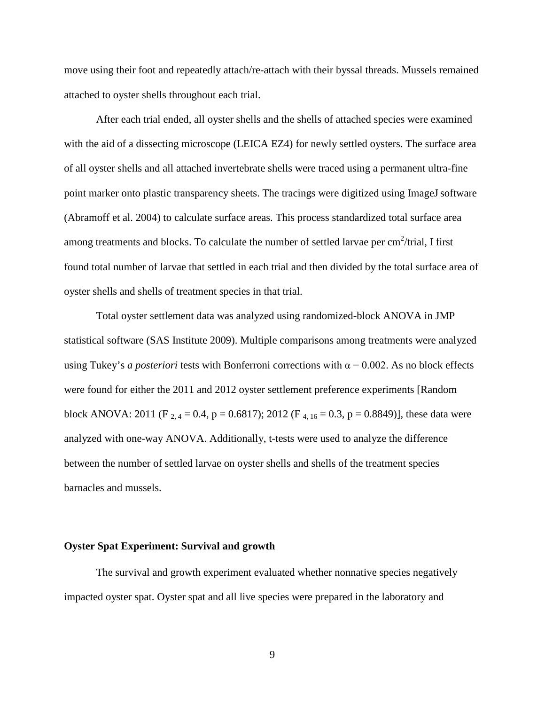move using their foot and repeatedly attach/re-attach with their byssal threads. Mussels remained attached to oyster shells throughout each trial.

After each trial ended, all oyster shells and the shells of attached species were examined with the aid of a dissecting microscope (LEICA EZ4) for newly settled oysters. The surface area of all oyster shells and all attached invertebrate shells were traced using a permanent ultra-fine point marker onto plastic transparency sheets. The tracings were digitized using ImageJ software (Abramoff et al. 2004) to calculate surface areas. This process standardized total surface area among treatments and blocks. To calculate the number of settled larvae per  $\text{cm}^2/\text{trial}$ , I first found total number of larvae that settled in each trial and then divided by the total surface area of oyster shells and shells of treatment species in that trial.

Total oyster settlement data was analyzed using randomized-block ANOVA in JMP statistical software (SAS Institute 2009). Multiple comparisons among treatments were analyzed using Tukey's *a posteriori* tests with Bonferroni corrections with  $\alpha = 0.002$ . As no block effects were found for either the 2011 and 2012 oyster settlement preference experiments [Random block ANOVA: 2011 (F  $_{2,4}$  = 0.4, p = 0.6817); 2012 (F  $_{4,16}$  = 0.3, p = 0.8849)], these data were analyzed with one-way ANOVA. Additionally, t-tests were used to analyze the difference between the number of settled larvae on oyster shells and shells of the treatment species barnacles and mussels.

#### <span id="page-16-0"></span>**Oyster Spat Experiment: Survival and growth**

The survival and growth experiment evaluated whether nonnative species negatively impacted oyster spat. Oyster spat and all live species were prepared in the laboratory and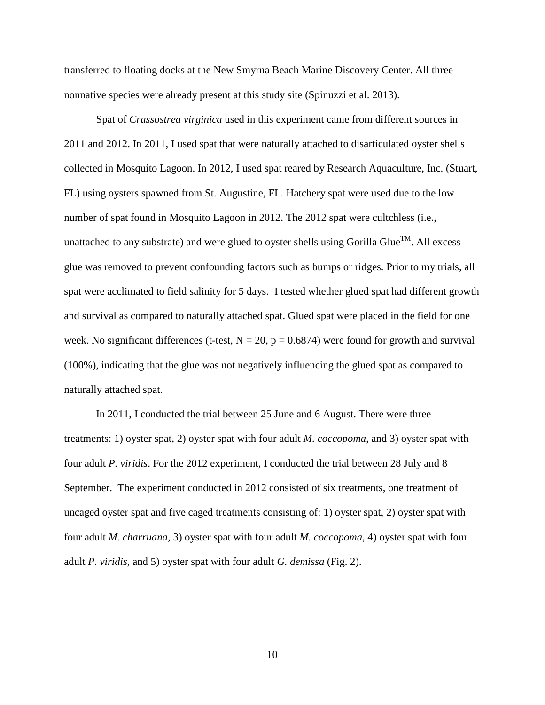transferred to floating docks at the New Smyrna Beach Marine Discovery Center. All three nonnative species were already present at this study site (Spinuzzi et al. 2013).

Spat of *Crassostrea virginica* used in this experiment came from different sources in 2011 and 2012. In 2011, I used spat that were naturally attached to disarticulated oyster shells collected in Mosquito Lagoon. In 2012, I used spat reared by Research Aquaculture, Inc. (Stuart, FL) using oysters spawned from St. Augustine, FL. Hatchery spat were used due to the low number of spat found in Mosquito Lagoon in 2012. The 2012 spat were cultchless (i.e., unattached to any substrate) and were glued to oyster shells using Gorilla Glue<sup>TM</sup>. All excess glue was removed to prevent confounding factors such as bumps or ridges. Prior to my trials, all spat were acclimated to field salinity for 5 days. I tested whether glued spat had different growth and survival as compared to naturally attached spat. Glued spat were placed in the field for one week. No significant differences (t-test,  $N = 20$ ,  $p = 0.6874$ ) were found for growth and survival (100%), indicating that the glue was not negatively influencing the glued spat as compared to naturally attached spat.

In 2011, I conducted the trial between 25 June and 6 August. There were three treatments: 1) oyster spat, 2) oyster spat with four adult *M. coccopoma*, and 3) oyster spat with four adult *P. viridis*. For the 2012 experiment, I conducted the trial between 28 July and 8 September. The experiment conducted in 2012 consisted of six treatments, one treatment of uncaged oyster spat and five caged treatments consisting of: 1) oyster spat, 2) oyster spat with four adult *M. charruana*, 3) oyster spat with four adult *M. coccopoma*, 4) oyster spat with four adult *P. viridis,* and 5) oyster spat with four adult *G. demissa* (Fig. 2).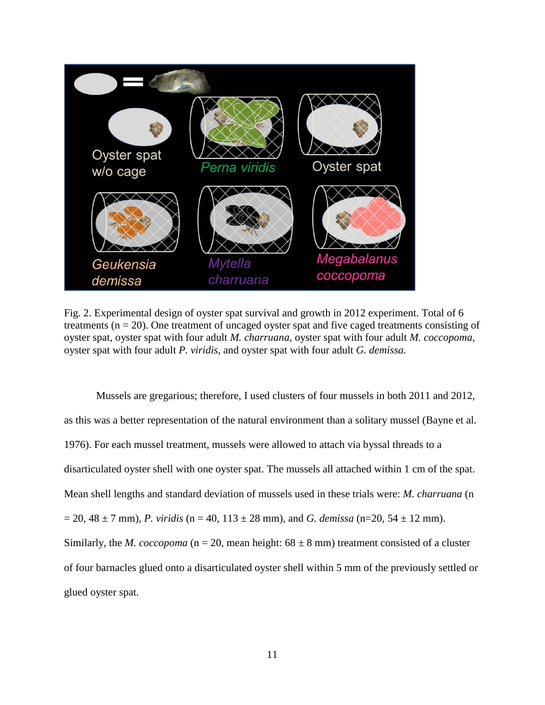

Fig. 2. Experimental design of oyster spat survival and growth in 2012 experiment. Total of 6 treatments  $(n = 20)$ . One treatment of uncaged oyster spat and five caged treatments consisting of oyster spat, oyster spat with four adult *M. charruana*, oyster spat with four adult *M. coccopoma*, oyster spat with four adult *P. viridis,* and oyster spat with four adult *G. demissa.*

<span id="page-18-0"></span>Mussels are gregarious; therefore, I used clusters of four mussels in both 2011 and 2012, as this was a better representation of the natural environment than a solitary mussel (Bayne et al. 1976). For each mussel treatment, mussels were allowed to attach via byssal threads to a disarticulated oyster shell with one oyster spat. The mussels all attached within 1 cm of the spat. Mean shell lengths and standard deviation of mussels used in these trials were: *M. charruana* (n  $= 20, 48 \pm 7$  mm), *P. viridis* (n = 40, 113  $\pm$  28 mm), and *G. demissa* (n=20, 54  $\pm$  12 mm). Similarly, the *M. coccopoma* ( $n = 20$ , mean height:  $68 \pm 8$  mm) treatment consisted of a cluster of four barnacles glued onto a disarticulated oyster shell within 5 mm of the previously settled or glued oyster spat.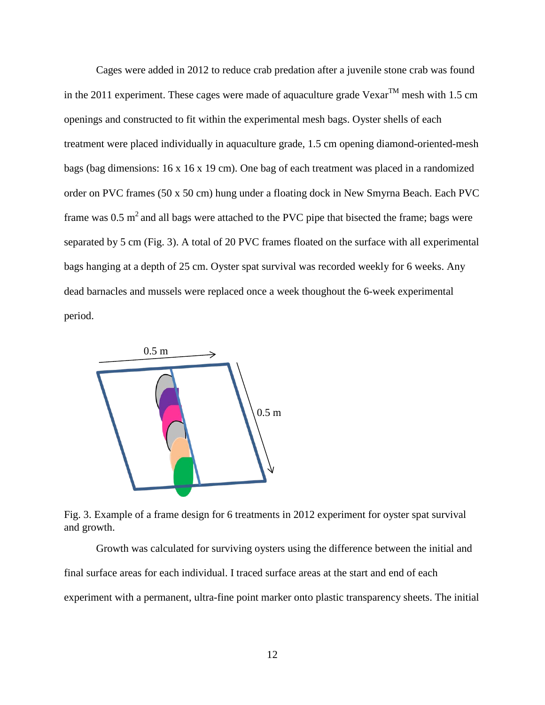Cages were added in 2012 to reduce crab predation after a juvenile stone crab was found in the 2011 experiment. These cages were made of aquaculture grade Vexar<sup>TM</sup> mesh with 1.5 cm openings and constructed to fit within the experimental mesh bags. Oyster shells of each treatment were placed individually in aquaculture grade, 1.5 cm opening diamond-oriented-mesh bags (bag dimensions: 16 x 16 x 19 cm). One bag of each treatment was placed in a randomized order on PVC frames (50 x 50 cm) hung under a floating dock in New Smyrna Beach. Each PVC frame was  $0.5 \text{ m}^2$  and all bags were attached to the PVC pipe that bisected the frame; bags were separated by 5 cm (Fig. 3). A total of 20 PVC frames floated on the surface with all experimental bags hanging at a depth of 25 cm. Oyster spat survival was recorded weekly for 6 weeks. Any dead barnacles and mussels were replaced once a week thoughout the 6-week experimental period.



<span id="page-19-0"></span>Fig. 3. Example of a frame design for 6 treatments in 2012 experiment for oyster spat survival and growth.

Growth was calculated for surviving oysters using the difference between the initial and final surface areas for each individual. I traced surface areas at the start and end of each experiment with a permanent, ultra-fine point marker onto plastic transparency sheets. The initial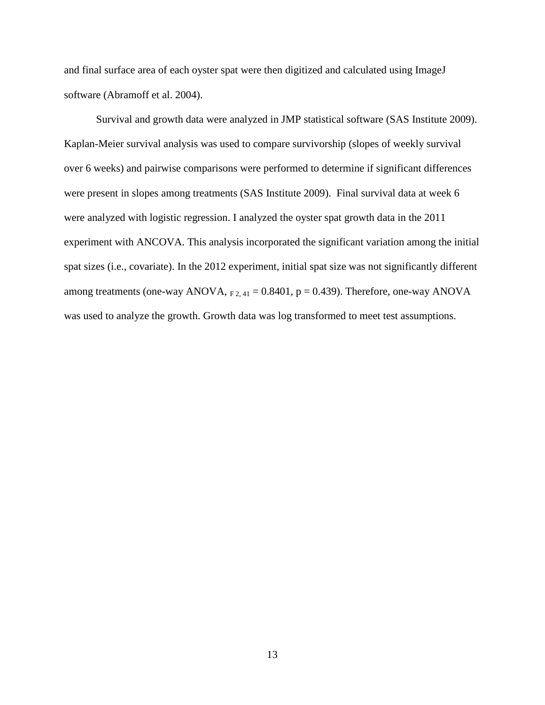and final surface area of each oyster spat were then digitized and calculated using ImageJ software (Abramoff et al. 2004).

Survival and growth data were analyzed in JMP statistical software (SAS Institute 2009). Kaplan-Meier survival analysis was used to compare survivorship (slopes of weekly survival over 6 weeks) and pairwise comparisons were performed to determine if significant differences were present in slopes among treatments (SAS Institute 2009). Final survival data at week 6 were analyzed with logistic regression. I analyzed the oyster spat growth data in the 2011 experiment with ANCOVA. This analysis incorporated the significant variation among the initial spat sizes (i.e., covariate). In the 2012 experiment, initial spat size was not significantly different among treatments (one-way ANOVA,  $F_{2,41} = 0.8401$ ,  $p = 0.439$ ). Therefore, one-way ANOVA was used to analyze the growth. Growth data was log transformed to meet test assumptions.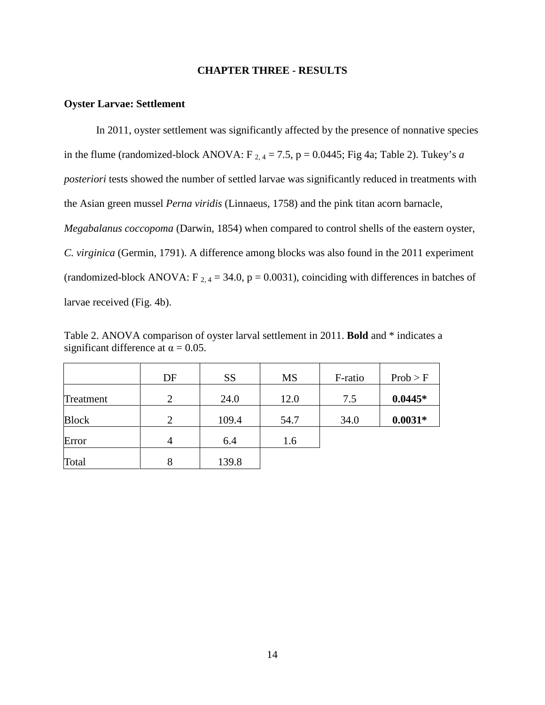#### **CHAPTER THREE - RESULTS**

#### <span id="page-21-1"></span><span id="page-21-0"></span>**Oyster Larvae: Settlement**

In 2011, oyster settlement was significantly affected by the presence of nonnative species in the flume (randomized-block ANOVA:  $F_{2,4} = 7.5$ ,  $p = 0.0445$ ; Fig 4a; Table 2). Tukey's *a posteriori* tests showed the number of settled larvae was significantly reduced in treatments with the Asian green mussel *Perna viridis* (Linnaeus, 1758) and the pink titan acorn barnacle, *Megabalanus coccopoma* (Darwin, 1854) when compared to control shells of the eastern oyster, *C. virginica* (Germin, 1791). A difference among blocks was also found in the 2011 experiment (randomized-block ANOVA:  $F_{2,4} = 34.0$ ,  $p = 0.0031$ ), coinciding with differences in batches of larvae received (Fig. 4b).

<span id="page-21-2"></span>Table 2. ANOVA comparison of oyster larval settlement in 2011. **Bold** and \* indicates a significant difference at  $\alpha = 0.05$ .

|              | DF                          | <b>SS</b> | <b>MS</b> | F-ratio | Prob > F  |
|--------------|-----------------------------|-----------|-----------|---------|-----------|
| Treatment    | $\mathcal{D}_{\mathcal{L}}$ | 24.0      | 12.0      | 7.5     | $0.0445*$ |
| <b>Block</b> | $\mathcal{D}_{\mathcal{L}}$ | 109.4     | 54.7      | 34.0    | $0.0031*$ |
| Error        |                             | 6.4       | 1.6       |         |           |
| Total        | 8                           | 139.8     |           |         |           |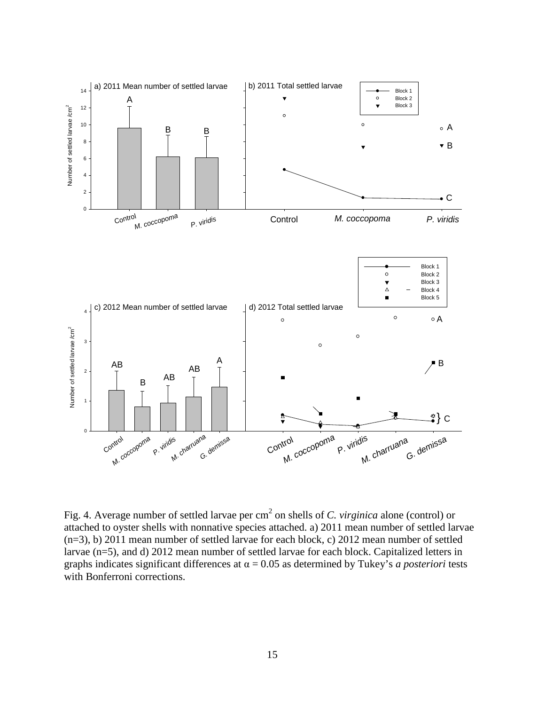

<span id="page-22-0"></span>Fig. 4. Average number of settled larvae per cm<sup>2</sup> on shells of *C. virginica* alone (control) or attached to oyster shells with nonnative species attached. a) 2011 mean number of settled larvae (n=3), b) 2011 mean number of settled larvae for each block, c) 2012 mean number of settled larvae (n=5), and d) 2012 mean number of settled larvae for each block. Capitalized letters in graphs indicates significant differences at  $\alpha = 0.05$  as determined by Tukey's *a posteriori* tests with Bonferroni corrections.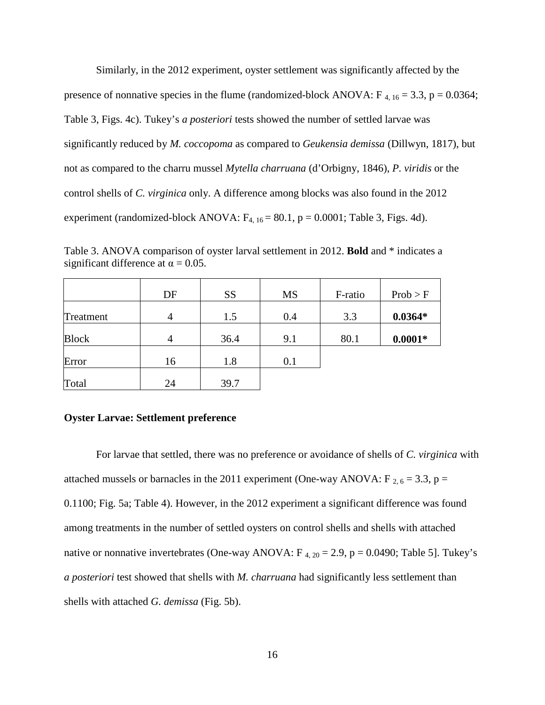Similarly, in the 2012 experiment, oyster settlement was significantly affected by the presence of nonnative species in the flume (randomized-block ANOVA:  $F_{4, 16} = 3.3$ , p = 0.0364; Table 3, Figs. 4c). Tukey's *a posteriori* tests showed the number of settled larvae was significantly reduced by *M. coccopoma* as compared to *Geukensia demissa* (Dillwyn, 1817), but not as compared to the charru mussel *Mytella charruana* (d'Orbigny, 1846), *P. viridis* or the control shells of *C. virginica* only. A difference among blocks was also found in the 2012 experiment (randomized-block ANOVA:  $F_{4, 16} = 80.1$ , p = 0.0001; Table 3, Figs. 4d).

<span id="page-23-1"></span>Table 3. ANOVA comparison of oyster larval settlement in 2012. **Bold** and \* indicates a significant difference at  $\alpha = 0.05$ .

|              | DF             | <b>SS</b> | <b>MS</b> | F-ratio | Prob > F  |
|--------------|----------------|-----------|-----------|---------|-----------|
| Treatment    | $\overline{4}$ | 1.5       | 0.4       | 3.3     | $0.0364*$ |
| <b>Block</b> | $\overline{4}$ | 36.4      | 9.1       | 80.1    | $0.0001*$ |
| Error        | 16             | 1.8       | 0.1       |         |           |
| Total        | 24             | 39.7      |           |         |           |

#### <span id="page-23-0"></span>**Oyster Larvae: Settlement preference**

For larvae that settled, there was no preference or avoidance of shells of *C. virginica* with attached mussels or barnacles in the 2011 experiment (One-way ANOVA:  $F_{2, 6} = 3.3$ , p = 0.1100; Fig. 5a; Table 4). However, in the 2012 experiment a significant difference was found among treatments in the number of settled oysters on control shells and shells with attached native or nonnative invertebrates (One-way ANOVA:  $F_{4, 20} = 2.9$ ,  $p = 0.0490$ ; Table 5]. Tukey's *a posteriori* test showed that shells with *M. charruana* had significantly less settlement than shells with attached *G. demissa* (Fig. 5b).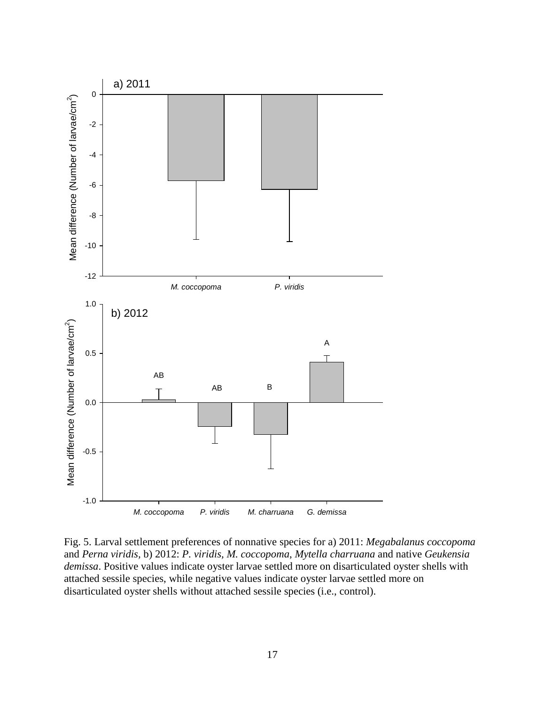

<span id="page-24-0"></span>Fig. 5. Larval settlement preferences of nonnative species for a) 2011: *Megabalanus coccopoma*  and *Perna viridis,* b) 2012: *P. viridis, M. coccopoma*, *Mytella charruana* and native *Geukensia demissa*. Positive values indicate oyster larvae settled more on disarticulated oyster shells with attached sessile species, while negative values indicate oyster larvae settled more on disarticulated oyster shells without attached sessile species (i.e., control).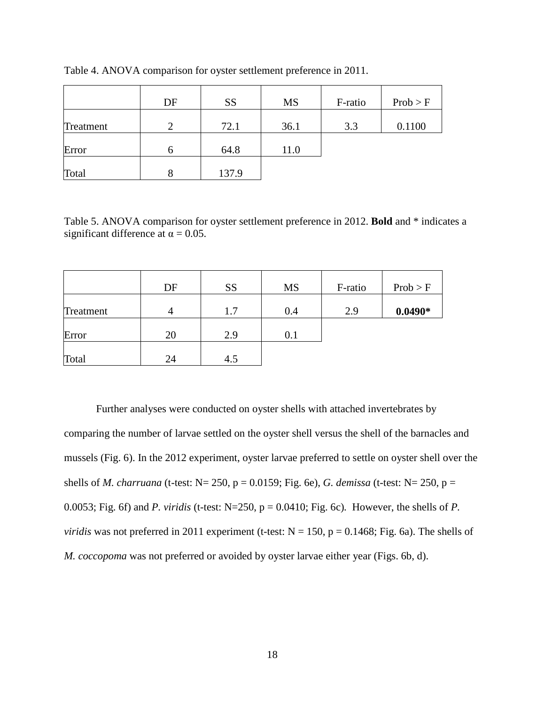|           | DF | <b>SS</b> | <b>MS</b> | F-ratio | Prob > F |
|-----------|----|-----------|-----------|---------|----------|
| Treatment | 2  | 72.1      | 36.1      | 3.3     | 0.1100   |
| Error     | h  | 64.8      | 11.0      |         |          |
| Total     |    | 137.9     |           |         |          |

<span id="page-25-0"></span>Table 4. ANOVA comparison for oyster settlement preference in 2011.

<span id="page-25-1"></span>Table 5. ANOVA comparison for oyster settlement preference in 2012. **Bold** and \* indicates a significant difference at  $\alpha = 0.05$ .

|           | DF | <b>SS</b> | <b>MS</b> | F-ratio | Prob > F  |
|-----------|----|-----------|-----------|---------|-----------|
| Treatment | 4  | 1.7       | 0.4       | 2.9     | $0.0490*$ |
| Error     | 20 | 2.9       | 0.1       |         |           |
| Total     | 24 | 4.5       |           |         |           |

Further analyses were conducted on oyster shells with attached invertebrates by comparing the number of larvae settled on the oyster shell versus the shell of the barnacles and mussels (Fig. 6). In the 2012 experiment, oyster larvae preferred to settle on oyster shell over the shells of *M. charruana* (t-test: N= 250, p = 0.0159; Fig. 6e), *G. demissa* (t-test: N= 250, p = 0.0053; Fig. 6f) and *P. viridis* (t-test: N=250, p = 0.0410; Fig. 6c)*.* However, the shells of *P. viridis* was not preferred in 2011 experiment (t-test:  $N = 150$ ,  $p = 0.1468$ ; Fig. 6a). The shells of *M. coccopoma* was not preferred or avoided by oyster larvae either year (Figs. 6b, d).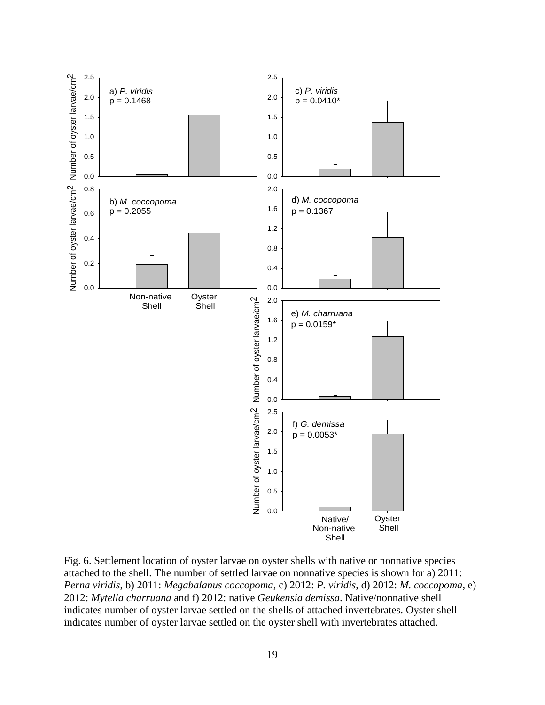

<span id="page-26-0"></span>Fig. 6. Settlement location of oyster larvae on oyster shells with native or nonnative species attached to the shell. The number of settled larvae on nonnative species is shown for a) 2011: *Perna viridis*, b) 2011: *Megabalanus coccopoma*, c) 2012: *P. viridis*, d) 2012: *M. coccopoma*, e) 2012: *Mytella charruana* and f) 2012: native *Geukensia demissa*. Native/nonnative shell indicates number of oyster larvae settled on the shells of attached invertebrates. Oyster shell indicates number of oyster larvae settled on the oyster shell with invertebrates attached.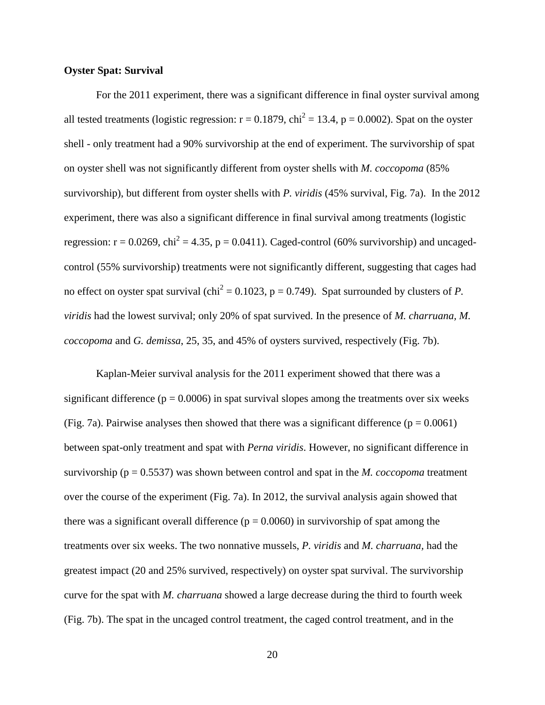#### <span id="page-27-0"></span>**Oyster Spat: Survival**

For the 2011 experiment, there was a significant difference in final oyster survival among all tested treatments (logistic regression:  $r = 0.1879$ , chi<sup>2</sup> = 13.4, p = 0.0002). Spat on the oyster shell - only treatment had a 90% survivorship at the end of experiment. The survivorship of spat on oyster shell was not significantly different from oyster shells with *M. coccopoma* (85% survivorship), but different from oyster shells with *P. viridis* (45% survival, Fig. 7a). In the 2012 experiment, there was also a significant difference in final survival among treatments (logistic regression:  $r = 0.0269$ ,  $chi^2 = 4.35$ ,  $p = 0.0411$ ). Caged-control (60% survivorship) and uncagedcontrol (55% survivorship) treatments were not significantly different, suggesting that cages had no effect on oyster spat survival (chi<sup>2</sup> = 0.1023, p = 0.749). Spat surrounded by clusters of *P*. *viridis* had the lowest survival; only 20% of spat survived. In the presence of *M. charruana, M. coccopoma* and *G. demissa*, 25, 35, and 45% of oysters survived, respectively (Fig. 7b).

Kaplan-Meier survival analysis for the 2011 experiment showed that there was a significant difference ( $p = 0.0006$ ) in spat survival slopes among the treatments over six weeks (Fig. 7a). Pairwise analyses then showed that there was a significant difference ( $p = 0.0061$ ) between spat-only treatment and spat with *Perna viridis*. However, no significant difference in survivorship (p = 0.5537) was shown between control and spat in the *M. coccopoma* treatment over the course of the experiment (Fig. 7a). In 2012, the survival analysis again showed that there was a significant overall difference ( $p = 0.0060$ ) in survivorship of spat among the treatments over six weeks. The two nonnative mussels, *P. viridis* and *M. charruana,* had the greatest impact (20 and 25% survived, respectively) on oyster spat survival. The survivorship curve for the spat with *M. charruana* showed a large decrease during the third to fourth week (Fig. 7b). The spat in the uncaged control treatment, the caged control treatment, and in the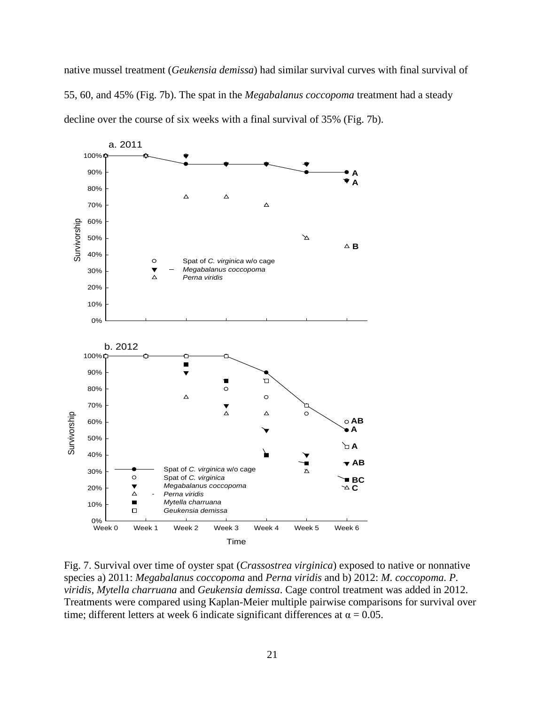native mussel treatment (*Geukensia demissa*) had similar survival curves with final survival of 55, 60, and 45% (Fig. 7b). The spat in the *Megabalanus coccopoma* treatment had a steady decline over the course of six weeks with a final survival of 35% (Fig. 7b).



<span id="page-28-0"></span>Fig. 7. Survival over time of oyster spat (*Crassostrea virginica*) exposed to native or nonnative species a) 2011: *Megabalanus coccopoma* and *Perna viridis* and b) 2012: *M. coccopoma. P. viridis*, *Mytella charruana* and *Geukensia demissa*. Cage control treatment was added in 2012. Treatments were compared using Kaplan-Meier multiple pairwise comparisons for survival over time; different letters at week 6 indicate significant differences at  $\alpha = 0.05$ .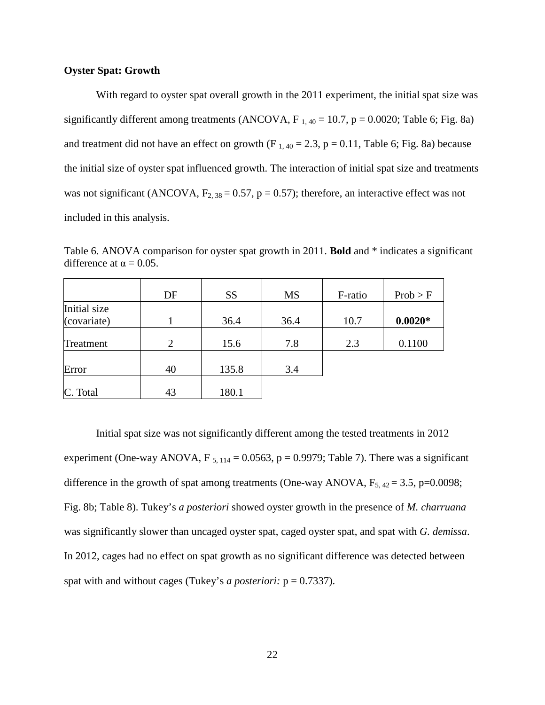# <span id="page-29-0"></span>**Oyster Spat: Growth**

With regard to oyster spat overall growth in the 2011 experiment, the initial spat size was significantly different among treatments (ANCOVA,  $F_{1,40} = 10.7$ ,  $p = 0.0020$ ; Table 6; Fig. 8a) and treatment did not have an effect on growth (F<sub>1,40</sub> = 2.3, p = 0.11, Table 6; Fig. 8a) because the initial size of oyster spat influenced growth. The interaction of initial spat size and treatments was not significant (ANCOVA,  $F_{2, 38} = 0.57$ , p = 0.57); therefore, an interactive effect was not included in this analysis.

<span id="page-29-1"></span>Table 6. ANOVA comparison for oyster spat growth in 2011. **Bold** and \* indicates a significant difference at  $\alpha = 0.05$ .

|              | DF | <b>SS</b> | <b>MS</b> | F-ratio | Prob > F  |
|--------------|----|-----------|-----------|---------|-----------|
| Initial size |    |           |           |         |           |
| (covariate)  |    | 36.4      | 36.4      | 10.7    | $0.0020*$ |
| Treatment    | 2  | 15.6      | 7.8       | 2.3     | 0.1100    |
| Error        | 40 | 135.8     | 3.4       |         |           |
| C. Total     | 43 | 180.1     |           |         |           |

Initial spat size was not significantly different among the tested treatments in 2012 experiment (One-way ANOVA, F<sub>5, 114</sub> = 0.0563, p = 0.9979; Table 7). There was a significant difference in the growth of spat among treatments (One-way ANOVA,  $F_{5, 42} = 3.5$ , p=0.0098; Fig. 8b; Table 8). Tukey's *a posteriori* showed oyster growth in the presence of *M. charruana* was significantly slower than uncaged oyster spat, caged oyster spat, and spat with *G. demissa*. In 2012, cages had no effect on spat growth as no significant difference was detected between spat with and without cages (Tukey's *a posteriori:*  $p = 0.7337$ ).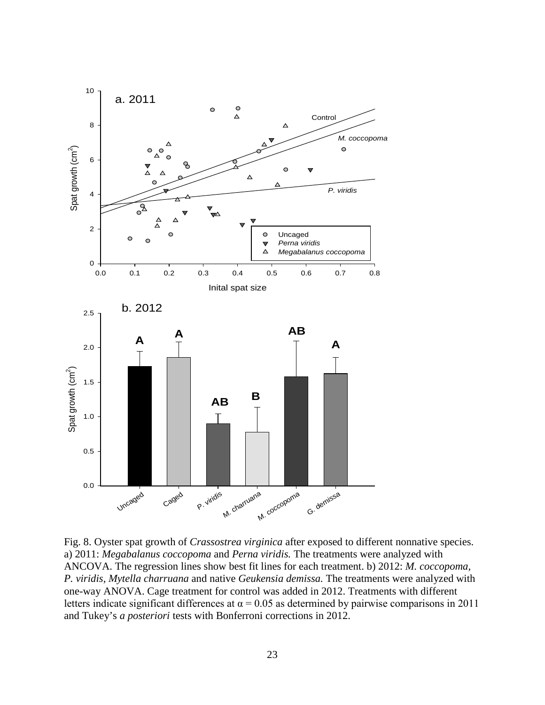

<span id="page-30-0"></span>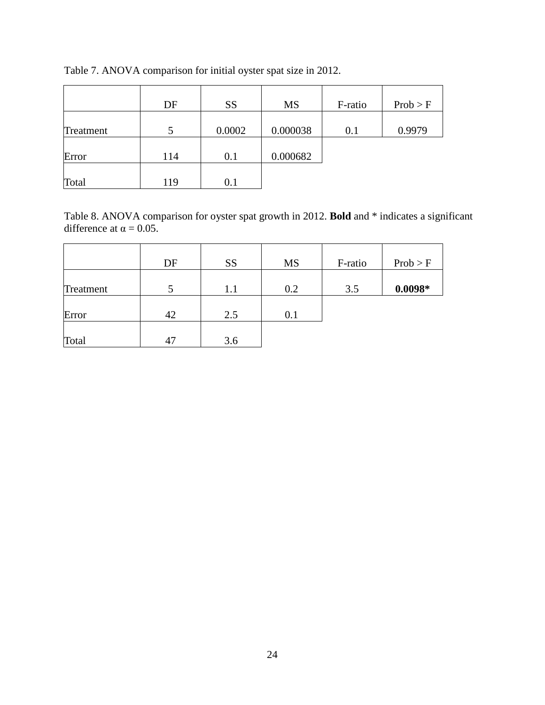|           | DF  | <b>SS</b> | <b>MS</b> | F-ratio | Prob > F |
|-----------|-----|-----------|-----------|---------|----------|
|           |     |           |           |         |          |
| Treatment |     | 0.0002    | 0.000038  | 0.1     | 0.9979   |
|           |     |           |           |         |          |
| Error     | 114 | 0.1       | 0.000682  |         |          |
|           |     |           |           |         |          |
| Total     | 119 | $0.1\,$   |           |         |          |

<span id="page-31-0"></span>Table 7. ANOVA comparison for initial oyster spat size in 2012.

<span id="page-31-1"></span>Table 8. ANOVA comparison for oyster spat growth in 2012. **Bold** and \* indicates a significant difference at  $\alpha = 0.05$ .

|           | DF | <b>SS</b> | <b>MS</b> | F-ratio | Prob > F  |
|-----------|----|-----------|-----------|---------|-----------|
| Treatment |    | 1.1       | 0.2       | 3.5     | $0.0098*$ |
| Error     | 42 | 2.5       | 0.1       |         |           |
| Total     | 47 | 3.6       |           |         |           |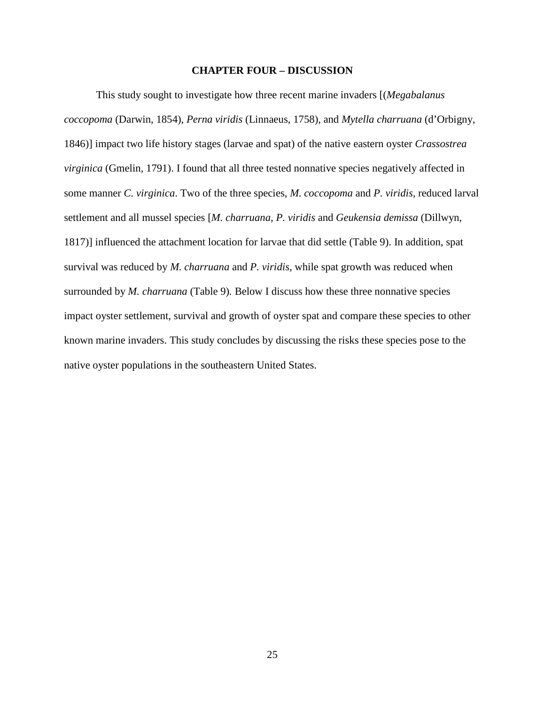#### **CHAPTER FOUR – DISCUSSION**

<span id="page-32-0"></span>This study sought to investigate how three recent marine invaders [(*Megabalanus coccopoma* (Darwin, 1854), *Perna viridis* (Linnaeus, 1758), and *Mytella charruana* (d'Orbigny, 1846)] impact two life history stages (larvae and spat) of the native eastern oyster *Crassostrea virginica* (Gmelin, 1791). I found that all three tested nonnative species negatively affected in some manner *C. virginica*. Two of the three species, *M. coccopoma* and *P. viridis,* reduced larval settlement and all mussel species [*M. charruana*, *P. viridis* and *Geukensia demissa* (Dillwyn, 1817)] influenced the attachment location for larvae that did settle (Table 9). In addition, spat survival was reduced by *M. charruana* and *P. viridis,* while spat growth was reduced when surrounded by *M. charruana* (Table 9)*.* Below I discuss how these three nonnative species impact oyster settlement, survival and growth of oyster spat and compare these species to other known marine invaders. This study concludes by discussing the risks these species pose to the native oyster populations in the southeastern United States.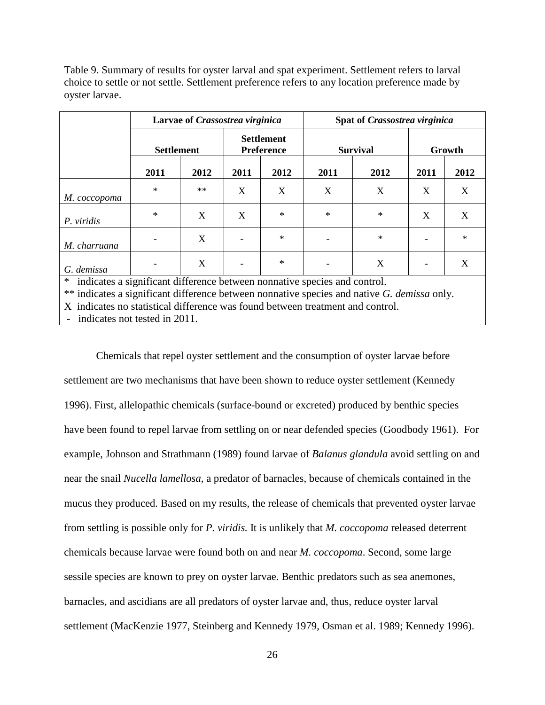<span id="page-33-0"></span>Table 9. Summary of results for oyster larval and spat experiment. Settlement refers to larval choice to settle or not settle. Settlement preference refers to any location preference made by oyster larvae.

|                                                                                |        | Larvae of Crassostrea virginica |      |                                        |        | Spat of Crassostrea virginica |                          |        |  |
|--------------------------------------------------------------------------------|--------|---------------------------------|------|----------------------------------------|--------|-------------------------------|--------------------------|--------|--|
|                                                                                |        | <b>Settlement</b>               |      | <b>Settlement</b><br><b>Preference</b> |        | <b>Survival</b>               |                          | Growth |  |
|                                                                                | 2011   | 2012                            | 2011 | 2012                                   | 2011   | 2012                          | 2011                     | 2012   |  |
| M. coccopoma                                                                   | $\ast$ | $**$                            | X    | X                                      | X      | X                             | X                        | X      |  |
| P. viridis                                                                     | $\ast$ | X                               | X    | $\ast$                                 | $\ast$ | $\ast$                        | X                        | X      |  |
| M. charruana                                                                   |        | X                               |      | $\ast$                                 |        | $\ast$                        | $\overline{\phantom{0}}$ | $\ast$ |  |
| G. demissa                                                                     |        | X                               |      | $\ast$                                 |        | X                             | $\overline{\phantom{a}}$ | X      |  |
| indicates a significant difference between nonnative species and control.<br>∗ |        |                                 |      |                                        |        |                               |                          |        |  |

\*\* indicates a significant difference between nonnative species and native *G. demissa* only.

X indicates no statistical difference was found between treatment and control.

indicates not tested in 2011.

Chemicals that repel oyster settlement and the consumption of oyster larvae before settlement are two mechanisms that have been shown to reduce oyster settlement (Kennedy 1996). First, allelopathic chemicals (surface-bound or excreted) produced by benthic species have been found to repel larvae from settling on or near defended species (Goodbody 1961). For example, Johnson and Strathmann (1989) found larvae of *Balanus glandula* avoid settling on and near the snail *Nucella lamellosa*, a predator of barnacles, because of chemicals contained in the mucus they produced. Based on my results, the release of chemicals that prevented oyster larvae from settling is possible only for *P. viridis.* It is unlikely that *M. coccopoma* released deterrent chemicals because larvae were found both on and near *M. coccopoma*. Second, some large sessile species are known to prey on oyster larvae. Benthic predators such as sea anemones, barnacles, and ascidians are all predators of oyster larvae and, thus, reduce oyster larval settlement (MacKenzie 1977, Steinberg and Kennedy 1979, Osman et al. 1989; Kennedy 1996).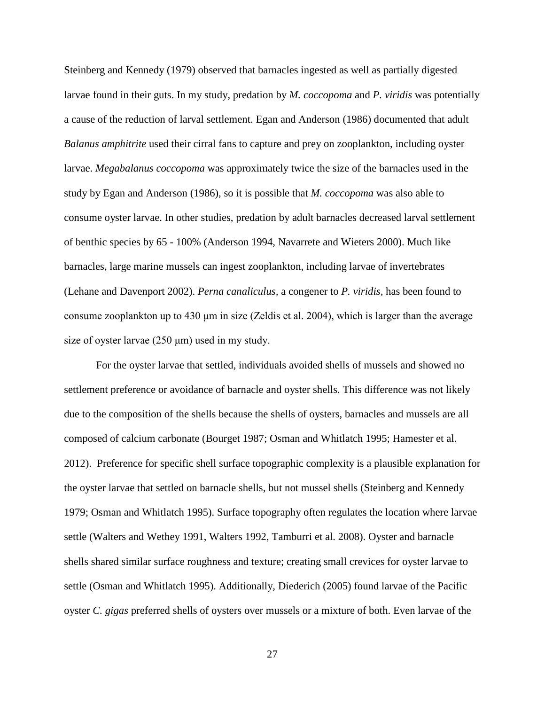Steinberg and Kennedy (1979) observed that barnacles ingested as well as partially digested larvae found in their guts. In my study, predation by *M. coccopoma* and *P. viridis* was potentially a cause of the reduction of larval settlement. Egan and Anderson (1986) documented that adult *Balanus amphitrite* used their cirral fans to capture and prey on zooplankton, including oyster larvae. *Megabalanus coccopoma* was approximately twice the size of the barnacles used in the study by Egan and Anderson (1986), so it is possible that *M. coccopoma* was also able to consume oyster larvae. In other studies, predation by adult barnacles decreased larval settlement of benthic species by 65 - 100% (Anderson 1994, Navarrete and Wieters 2000). Much like barnacles, large marine mussels can ingest zooplankton, including larvae of invertebrates (Lehane and Davenport 2002). *Perna canaliculus,* a congener to *P. viridis,* has been found to consume zooplankton up to 430 μm in size (Zeldis et al. 2004), which is larger than the average size of oyster larvae  $(250 \mu m)$  used in my study.

For the oyster larvae that settled, individuals avoided shells of mussels and showed no settlement preference or avoidance of barnacle and oyster shells. This difference was not likely due to the composition of the shells because the shells of oysters, barnacles and mussels are all composed of calcium carbonate (Bourget 1987; Osman and Whitlatch 1995; Hamester et al. 2012). Preference for specific shell surface topographic complexity is a plausible explanation for the oyster larvae that settled on barnacle shells, but not mussel shells (Steinberg and Kennedy 1979; Osman and Whitlatch 1995). Surface topography often regulates the location where larvae settle (Walters and Wethey 1991, Walters 1992, Tamburri et al. 2008). Oyster and barnacle shells shared similar surface roughness and texture; creating small crevices for oyster larvae to settle (Osman and Whitlatch 1995). Additionally, Diederich (2005) found larvae of the Pacific oyster *C. gigas* preferred shells of oysters over mussels or a mixture of both. Even larvae of the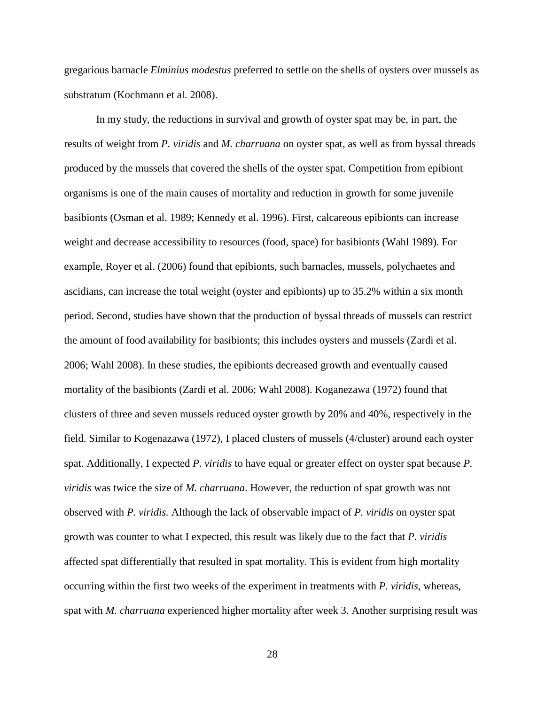gregarious barnacle *Elminius modestus* preferred to settle on the shells of oysters over mussels as substratum (Kochmann et al. 2008).

In my study, the reductions in survival and growth of oyster spat may be, in part, the results of weight from *P. viridis* and *M. charruana* on oyster spat, as well as from byssal threads produced by the mussels that covered the shells of the oyster spat. Competition from epibiont organisms is one of the main causes of mortality and reduction in growth for some juvenile basibionts (Osman et al. 1989; Kennedy et al. 1996). First, calcareous epibionts can increase weight and decrease accessibility to resources (food, space) for basibionts (Wahl 1989). For example, Royer et al. (2006) found that epibionts, such barnacles, mussels, polychaetes and ascidians, can increase the total weight (oyster and epibionts) up to 35.2% within a six month period. Second, studies have shown that the production of byssal threads of mussels can restrict the amount of food availability for basibionts; this includes oysters and mussels (Zardi et al. 2006; Wahl 2008). In these studies, the epibionts decreased growth and eventually caused mortality of the basibionts (Zardi et al. 2006; Wahl 2008). Koganezawa (1972) found that clusters of three and seven mussels reduced oyster growth by 20% and 40%, respectively in the field. Similar to Kogenazawa (1972), I placed clusters of mussels (4/cluster) around each oyster spat. Additionally, I expected *P. viridis* to have equal or greater effect on oyster spat because *P. viridis* was twice the size of *M. charruana*. However, the reduction of spat growth was not observed with *P. viridis.* Although the lack of observable impact of *P. viridis* on oyster spat growth was counter to what I expected, this result was likely due to the fact that *P. viridis* affected spat differentially that resulted in spat mortality. This is evident from high mortality occurring within the first two weeks of the experiment in treatments with *P. viridis*, whereas, spat with *M. charruana* experienced higher mortality after week 3. Another surprising result was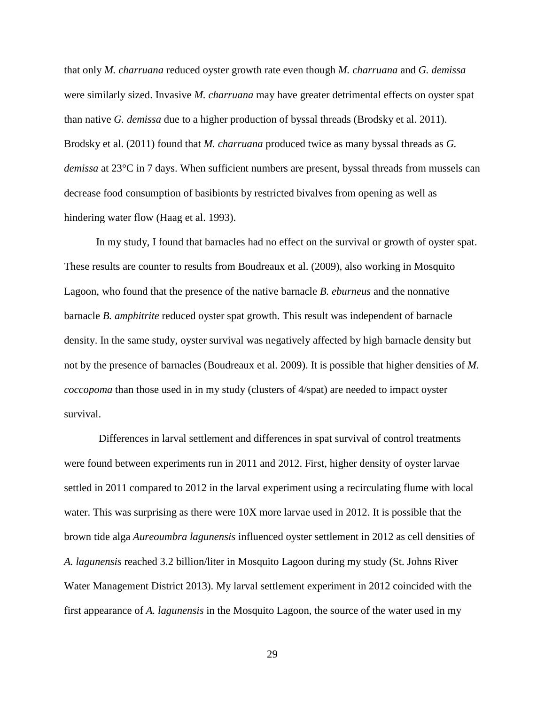that only *M. charruana* reduced oyster growth rate even though *M. charruana* and *G. demissa* were similarly sized. Invasive *M. charruana* may have greater detrimental effects on oyster spat than native *G. demissa* due to a higher production of byssal threads (Brodsky et al. 2011). Brodsky et al. (2011) found that *M. charruana* produced twice as many byssal threads as *G. demissa* at 23°C in 7 days. When sufficient numbers are present, byssal threads from mussels can decrease food consumption of basibionts by restricted bivalves from opening as well as hindering water flow (Haag et al. 1993).

In my study, I found that barnacles had no effect on the survival or growth of oyster spat. These results are counter to results from Boudreaux et al. (2009), also working in Mosquito Lagoon, who found that the presence of the native barnacle *B. eburneus* and the nonnative barnacle *B. amphitrite* reduced oyster spat growth. This result was independent of barnacle density. In the same study, oyster survival was negatively affected by high barnacle density but not by the presence of barnacles (Boudreaux et al. 2009). It is possible that higher densities of *M. coccopoma* than those used in in my study (clusters of 4/spat) are needed to impact oyster survival.

Differences in larval settlement and differences in spat survival of control treatments were found between experiments run in 2011 and 2012. First, higher density of oyster larvae settled in 2011 compared to 2012 in the larval experiment using a recirculating flume with local water. This was surprising as there were 10X more larvae used in 2012. It is possible that the brown tide alga *Aureoumbra lagunensis* influenced oyster settlement in 2012 as cell densities of *A. lagunensis* reached 3.2 billion/liter in Mosquito Lagoon during my study (St. Johns River Water Management District 2013). My larval settlement experiment in 2012 coincided with the first appearance of *A. lagunensis* in the Mosquito Lagoon, the source of the water used in my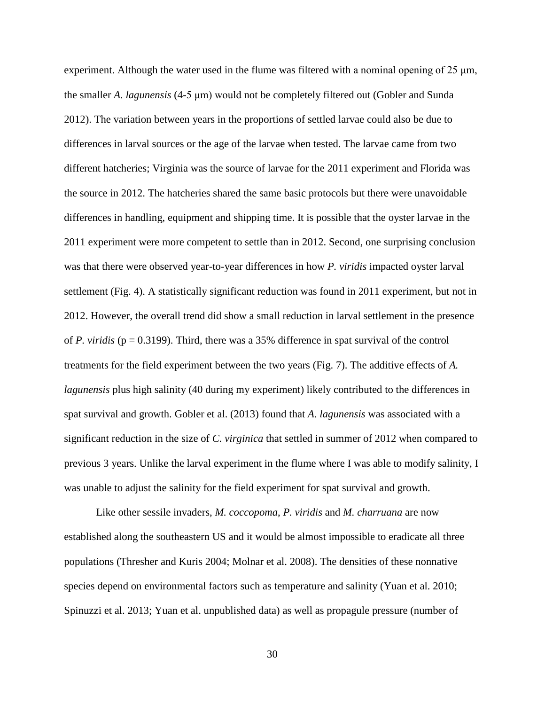experiment. Although the water used in the flume was filtered with a nominal opening of 25  $\mu$ m, the smaller *A. lagunensis* (4-5 μm) would not be completely filtered out (Gobler and Sunda 2012). The variation between years in the proportions of settled larvae could also be due to differences in larval sources or the age of the larvae when tested. The larvae came from two different hatcheries; Virginia was the source of larvae for the 2011 experiment and Florida was the source in 2012. The hatcheries shared the same basic protocols but there were unavoidable differences in handling, equipment and shipping time. It is possible that the oyster larvae in the 2011 experiment were more competent to settle than in 2012. Second, one surprising conclusion was that there were observed year-to-year differences in how *P. viridis* impacted oyster larval settlement (Fig. 4). A statistically significant reduction was found in 2011 experiment, but not in 2012. However, the overall trend did show a small reduction in larval settlement in the presence of *P. viridis* (p = 0.3199). Third, there was a 35% difference in spat survival of the control treatments for the field experiment between the two years (Fig. 7). The additive effects of *A. lagunensis* plus high salinity (40 during my experiment) likely contributed to the differences in spat survival and growth. Gobler et al. (2013) found that *A. lagunensis* was associated with a significant reduction in the size of *C. virginica* that settled in summer of 2012 when compared to previous 3 years. Unlike the larval experiment in the flume where I was able to modify salinity, I was unable to adjust the salinity for the field experiment for spat survival and growth.

Like other sessile invaders, *M. coccopoma*, *P. viridis* and *M. charruana* are now established along the southeastern US and it would be almost impossible to eradicate all three populations (Thresher and Kuris 2004; Molnar et al. 2008). The densities of these nonnative species depend on environmental factors such as temperature and salinity (Yuan et al. 2010; Spinuzzi et al. 2013; Yuan et al. unpublished data) as well as propagule pressure (number of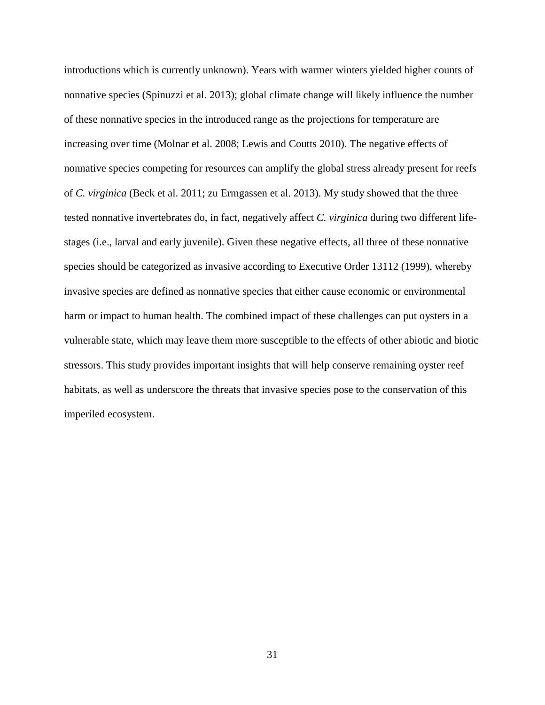introductions which is currently unknown). Years with warmer winters yielded higher counts of nonnative species (Spinuzzi et al. 2013); global climate change will likely influence the number of these nonnative species in the introduced range as the projections for temperature are increasing over time (Molnar et al. 2008; Lewis and Coutts 2010). The negative effects of nonnative species competing for resources can amplify the global stress already present for reefs of *C. virginica* (Beck et al. 2011; zu Ermgassen et al. 2013). My study showed that the three tested nonnative invertebrates do, in fact, negatively affect *C. virginica* during two different lifestages (i.e., larval and early juvenile). Given these negative effects, all three of these nonnative species should be categorized as invasive according to Executive Order 13112 (1999), whereby invasive species are defined as nonnative species that either cause economic or environmental harm or impact to human health. The combined impact of these challenges can put oysters in a vulnerable state, which may leave them more susceptible to the effects of other abiotic and biotic stressors. This study provides important insights that will help conserve remaining oyster reef habitats, as well as underscore the threats that invasive species pose to the conservation of this imperiled ecosystem.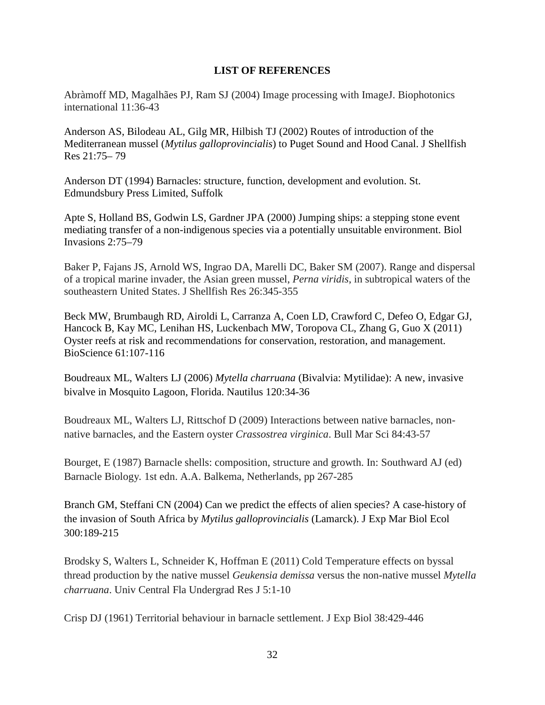# **LIST OF REFERENCES**

<span id="page-39-0"></span>Abràmoff MD, Magalhães PJ, Ram SJ (2004) Image processing with ImageJ. Biophotonics international 11:36-43

Anderson AS, Bilodeau AL, Gilg MR, Hilbish TJ (2002) Routes of introduction of the Mediterranean mussel (*Mytilus galloprovincialis*) to Puget Sound and Hood Canal. J Shellfish Res 21:75– 79

Anderson DT (1994) Barnacles: structure, function, development and evolution. St. Edmundsbury Press Limited, Suffolk

Apte S, Holland BS, Godwin LS, Gardner JPA (2000) Jumping ships: a stepping stone event mediating transfer of a non-indigenous species via a potentially unsuitable environment. Biol Invasions 2:75–79

Baker P, Fajans JS, Arnold WS, Ingrao DA, Marelli DC, Baker SM (2007). Range and dispersal of a tropical marine invader, the Asian green mussel, *Perna viridis*, in subtropical waters of the southeastern United States. J Shellfish Res 26:345-355

Beck MW, Brumbaugh RD, Airoldi L, Carranza A, Coen LD, Crawford C, Defeo O, Edgar GJ, Hancock B, Kay MC, Lenihan HS, Luckenbach MW, Toropova CL, Zhang G, Guo X (2011) Oyster reefs at risk and recommendations for conservation, restoration, and management. BioScience 61:107-116

Boudreaux ML, Walters LJ (2006) *Mytella charruana* (Bivalvia: Mytilidae): A new, invasive bivalve in Mosquito Lagoon, Florida. Nautilus 120:34-36

Boudreaux ML, Walters LJ, Rittschof D (2009) Interactions between native barnacles, nonnative barnacles, and the Eastern oyster *Crassostrea virginica*. Bull Mar Sci 84:43-57

Bourget, E (1987) Barnacle shells: composition, structure and growth. In: Southward AJ (ed) Barnacle Biology*.* 1st edn. A.A. Balkema, Netherlands, pp 267-285

Branch GM, Steffani CN (2004) Can we predict the effects of alien species? A case-history of the invasion of South Africa by *Mytilus galloprovincialis* (Lamarck). J Exp Mar Biol Ecol 300:189-215

Brodsky S, Walters L, Schneider K, Hoffman E (2011) Cold Temperature effects on byssal thread production by the native mussel *Geukensia demissa* versus the non-native mussel *Mytella charruana*. Univ Central Fla Undergrad Res J 5:1-10

Crisp DJ (1961) Territorial behaviour in barnacle settlement. J Exp Biol 38:429-446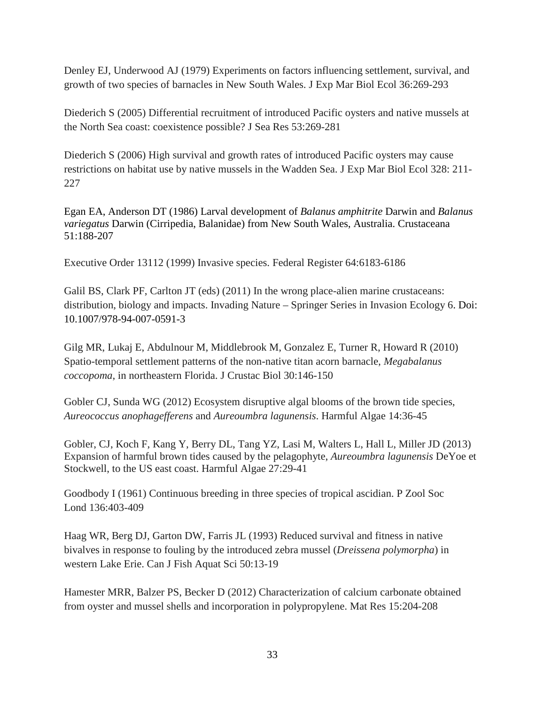Denley EJ, Underwood AJ (1979) Experiments on factors influencing settlement, survival, and growth of two species of barnacles in New South Wales. J Exp Mar Biol Ecol 36:269-293

Diederich S (2005) Differential recruitment of introduced Pacific oysters and native mussels at the North Sea coast: coexistence possible? J Sea Res 53:269-281

Diederich S (2006) High survival and growth rates of introduced Pacific oysters may cause restrictions on habitat use by native mussels in the Wadden Sea. J Exp Mar Biol Ecol 328: 211- 227

Egan EA, Anderson DT (1986) Larval development of *Balanus amphitrite* Darwin and *Balanus variegatus* Darwin (Cirripedia, Balanidae) from New South Wales, Australia. Crustaceana 51:188-207

Executive Order 13112 (1999) Invasive species. Federal Register 64:6183-6186

Galil BS, Clark PF, Carlton JT (eds) (2011) In the wrong place-alien marine crustaceans: distribution, biology and impacts. Invading Nature – Springer Series in Invasion Ecology 6. Doi: 10.1007/978-94-007-0591-3

Gilg MR, Lukaj E, Abdulnour M, Middlebrook M, Gonzalez E, Turner R, Howard R (2010) Spatio-temporal settlement patterns of the non-native titan acorn barnacle, *Megabalanus coccopoma*, in northeastern Florida. J Crustac Biol 30:146-150

Gobler CJ, Sunda WG (2012) Ecosystem disruptive algal blooms of the brown tide species, *Aureococcus anophagefferens* and *Aureoumbra lagunensis*. Harmful Algae 14:36-45

Gobler, CJ, Koch F, Kang Y, Berry DL, Tang YZ, Lasi M, Walters L, Hall L, Miller JD (2013) Expansion of harmful brown tides caused by the pelagophyte, *Aureoumbra lagunensis* DeYoe et Stockwell, to the US east coast. Harmful Algae 27:29-41

Goodbody I (1961) Continuous breeding in three species of tropical ascidian. P Zool Soc Lond 136:403-409

Haag WR, Berg DJ, Garton DW, Farris JL (1993) Reduced survival and fitness in native bivalves in response to fouling by the introduced zebra mussel (*Dreissena polymorpha*) in western Lake Erie. Can J Fish Aquat Sci 50:13-19

Hamester MRR, Balzer PS, Becker D (2012) Characterization of calcium carbonate obtained from oyster and mussel shells and incorporation in polypropylene. Mat Res 15:204-208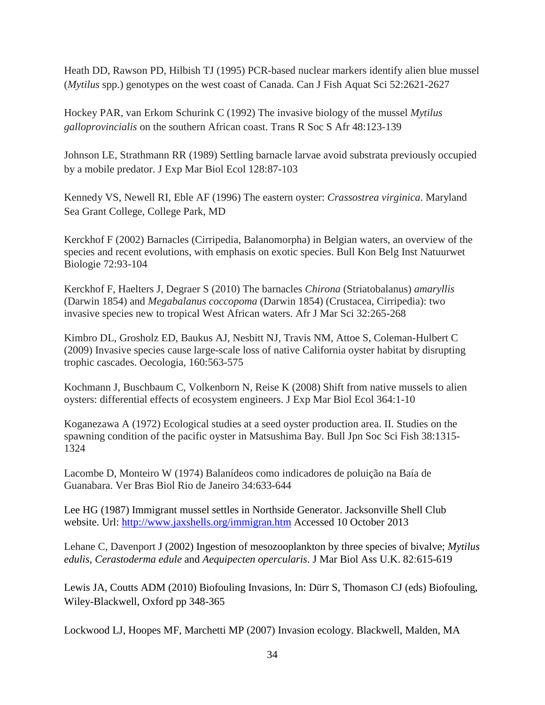Heath DD, Rawson PD, Hilbish TJ (1995) PCR-based nuclear markers identify alien blue mussel (*Mytilus* spp.) genotypes on the west coast of Canada. Can J Fish Aquat Sci 52:2621-2627

Hockey PAR, van Erkom Schurink C (1992) The invasive biology of the mussel *Mytilus galloprovincialis* on the southern African coast. Trans R Soc S Afr 48:123-139

Johnson LE, Strathmann RR (1989) Settling barnacle larvae avoid substrata previously occupied by a mobile predator. J Exp Mar Biol Ecol 128:87-103

Kennedy VS, Newell RI, Eble AF (1996) The eastern oyster: *Crassostrea virginica*. Maryland Sea Grant College, College Park, MD

Kerckhof F (2002) Barnacles (Cirripedia, Balanomorpha) in Belgian waters, an overview of the species and recent evolutions, with emphasis on exotic species. Bull Kon Belg Inst Natuurwet Biologie 72:93-104

Kerckhof F, Haelters J, Degraer S (2010) The barnacles *Chirona* (Striatobalanus) *amaryllis*  (Darwin 1854) and *Megabalanus coccopoma* (Darwin 1854) (Crustacea, Cirripedia): two invasive species new to tropical West African waters. Afr J Mar Sci 32:265-268

Kimbro DL, Grosholz ED, Baukus AJ, Nesbitt NJ, Travis NM, Attoe S, Coleman-Hulbert C (2009) Invasive species cause large-scale loss of native California oyster habitat by disrupting trophic cascades. Oecologia, 160:563-575

Kochmann J, Buschbaum C, Volkenborn N, Reise K (2008) Shift from native mussels to alien oysters: differential effects of ecosystem engineers. J Exp Mar Biol Ecol 364:1-10

Koganezawa A (1972) Ecological studies at a seed oyster production area. II. Studies on the spawning condition of the pacific oyster in Matsushima Bay. Bull Jpn Soc Sci Fish 38:1315- 1324

Lacombe D, Monteiro W (1974) Balanídeos como indicadores de poluição na Baía de Guanabara. Ver Bras Biol Rio de Janeiro 34:633-644

Lee HG (1987) Immigrant mussel settles in Northside Generator. Jacksonville Shell Club website. Url:<http://www.jaxshells.org/immigran.htm> Accessed 10 October 2013

Lehane C, Davenport J (2002) Ingestion of mesozooplankton by three species of bivalve; *Mytilus edulis, Cerastoderma edule* and *Aequipecten opercularis*. J Mar Biol Ass U.K. 82:615-619

Lewis JA, Coutts ADM (2010) Biofouling Invasions, In: Dürr S, Thomason CJ (eds) Biofouling, Wiley-Blackwell, Oxford pp 348-365

Lockwood LJ, Hoopes MF, Marchetti MP (2007) Invasion ecology. Blackwell, Malden, MA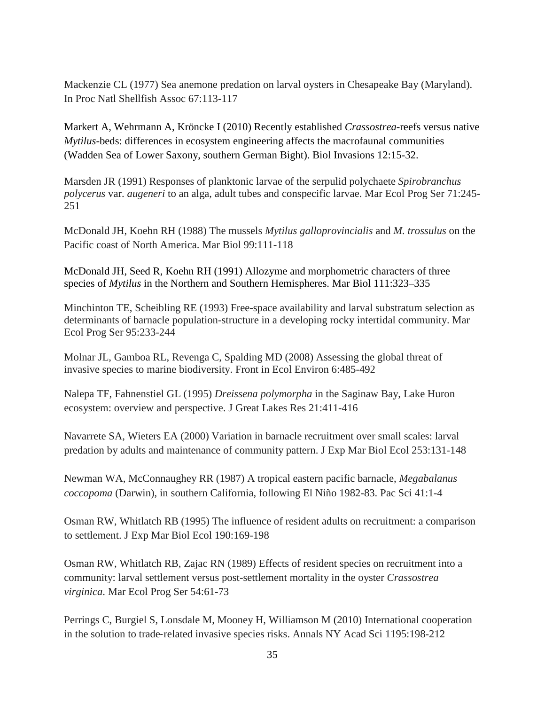Mackenzie CL (1977) Sea anemone predation on larval oysters in Chesapeake Bay (Maryland). In Proc Natl Shellfish Assoc 67:113-117

Markert A, Wehrmann A, Kröncke I (2010) Recently established *Crassostrea-*reefs versus native *Mytilus*-beds: differences in ecosystem engineering affects the macrofaunal communities (Wadden Sea of Lower Saxony, southern German Bight). Biol Invasions 12:15-32.

Marsden JR (1991) Responses of planktonic larvae of the serpulid polychaete *Spirobranchus polycerus* var. *augeneri* to an alga, adult tubes and conspecific larvae. Mar Ecol Prog Ser 71:245- 251

McDonald JH, Koehn RH (1988) The mussels *Mytilus galloprovincialis* and *M. trossulus* on the Pacific coast of North America. Mar Biol 99:111-118

McDonald JH, Seed R, Koehn RH (1991) Allozyme and morphometric characters of three species of *Mytilus* in the Northern and Southern Hemispheres. Mar Biol 111:323–335

Minchinton TE, Scheibling RE (1993) Free-space availability and larval substratum selection as determinants of barnacle population-structure in a developing rocky intertidal community. Mar Ecol Prog Ser 95:233-244

Molnar JL, Gamboa RL, Revenga C, Spalding MD (2008) Assessing the global threat of invasive species to marine biodiversity. Front in Ecol Environ 6:485-492

Nalepa TF, Fahnenstiel GL (1995) *Dreissena polymorpha* in the Saginaw Bay, Lake Huron ecosystem: overview and perspective. J Great Lakes Res 21:411-416

Navarrete SA, Wieters EA (2000) Variation in barnacle recruitment over small scales: larval predation by adults and maintenance of community pattern. J Exp Mar Biol Ecol 253:131-148

Newman WA, McConnaughey RR (1987) A tropical eastern pacific barnacle, *Megabalanus coccopoma* (Darwin), in southern California, following El Niño 1982-83. Pac Sci 41:1-4

Osman RW, Whitlatch RB (1995) The influence of resident adults on recruitment: a comparison to settlement. J Exp Mar Biol Ecol 190:169-198

Osman RW, Whitlatch RB, Zajac RN (1989) Effects of resident species on recruitment into a community: larval settlement versus post-settlement mortality in the oyster *Crassostrea virginica*. Mar Ecol Prog Ser 54:61-73

Perrings C, Burgiel S, Lonsdale M, Mooney H, Williamson M (2010) International cooperation in the solution to trade‐related invasive species risks. Annals NY Acad Sci 1195:198-212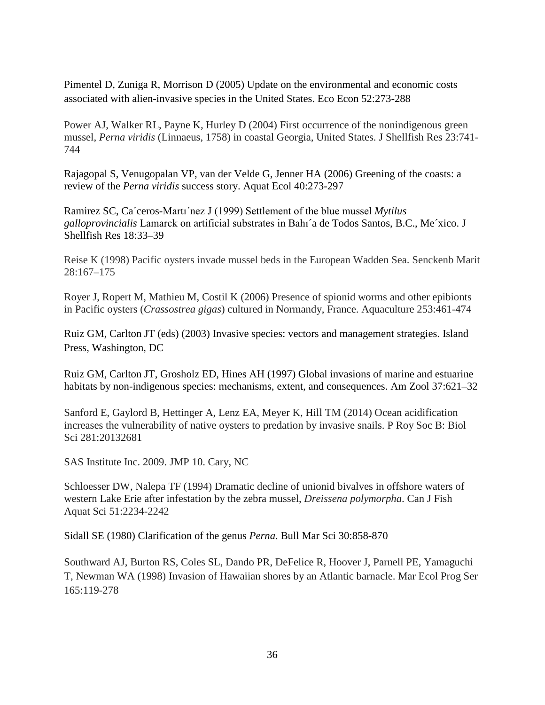Pimentel D, Zuniga R, Morrison D (2005) Update on the environmental and economic costs associated with alien-invasive species in the United States. Eco Econ 52:273-288

Power AJ, Walker RL, Payne K, Hurley D (2004) First occurrence of the nonindigenous green mussel, *Perna viridis* (Linnaeus, 1758) in coastal Georgia, United States. J Shellfish Res 23:741- 744

Rajagopal S, Venugopalan VP, van der Velde G, Jenner HA (2006) Greening of the coasts: a review of the *Perna viridis* success story. Aquat Ecol 40:273-297

Ramirez SC, Ca´ceros-Martı´nez J (1999) Settlement of the blue mussel *Mytilus galloprovincialis* Lamarck on artificial substrates in Bahı´a de Todos Santos, B.C., Me´xico. J Shellfish Res 18:33–39

Reise K (1998) Pacific oysters invade mussel beds in the European Wadden Sea. Senckenb Marit 28:167–175

Royer J, Ropert M, Mathieu M, Costil K (2006) Presence of spionid worms and other epibionts in Pacific oysters (*Crassostrea gigas*) cultured in Normandy, France. Aquaculture 253:461-474

Ruiz GM, Carlton JT (eds) (2003) Invasive species: vectors and management strategies. Island Press, Washington, DC

Ruiz GM, Carlton JT, Grosholz ED, Hines AH (1997) Global invasions of marine and estuarine habitats by non-indigenous species: mechanisms, extent, and consequences. Am Zool 37:621–32

Sanford E, Gaylord B, Hettinger A, Lenz EA, Meyer K, Hill TM (2014) Ocean acidification increases the vulnerability of native oysters to predation by invasive snails. P Roy Soc B: Biol Sci 281:20132681

SAS Institute Inc. 2009. JMP 10. Cary, NC

Schloesser DW, Nalepa TF (1994) Dramatic decline of unionid bivalves in offshore waters of western Lake Erie after infestation by the zebra mussel, *Dreissena polymorpha*. Can J Fish Aquat Sci 51:2234-2242

Sidall SE (1980) Clarification of the genus *Perna*. Bull Mar Sci 30:858-870

Southward AJ, Burton RS, Coles SL, Dando PR, DeFelice R, Hoover J, Parnell PE, Yamaguchi T, Newman WA (1998) Invasion of Hawaiian shores by an Atlantic barnacle. Mar Ecol Prog Ser 165:119-278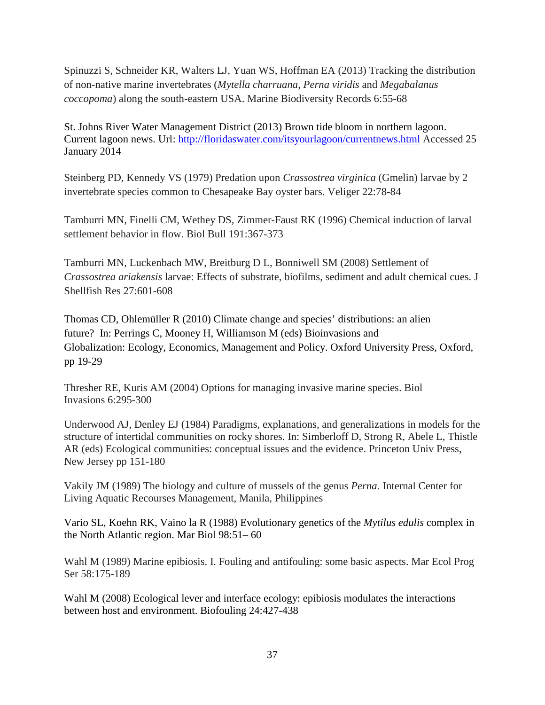Spinuzzi S, Schneider KR, Walters LJ, Yuan WS, Hoffman EA (2013) Tracking the distribution of non-native marine invertebrates (*Mytella charruana*, *Perna viridis* and *Megabalanus coccopoma*) along the south-eastern USA. Marine Biodiversity Records 6:55-68

St. Johns River Water Management District (2013) Brown tide bloom in northern lagoon. Current lagoon news. Url:<http://floridaswater.com/itsyourlagoon/currentnews.html> Accessed 25 January 2014

Steinberg PD, Kennedy VS (1979) Predation upon *Crassostrea virginica* (Gmelin) larvae by 2 invertebrate species common to Chesapeake Bay oyster bars. Veliger 22:78-84

Tamburri MN, Finelli CM, Wethey DS, Zimmer-Faust RK (1996) Chemical induction of larval settlement behavior in flow. Biol Bull 191:367-373

Tamburri MN, Luckenbach MW, Breitburg D L, Bonniwell SM (2008) Settlement of *Crassostrea ariakensis* larvae: Effects of substrate, biofilms, sediment and adult chemical cues. J Shellfish Res 27:601-608

Thomas CD, Ohlemüller R (2010) Climate change and species' distributions: an alien future? In: Perrings C, Mooney H, Williamson M (eds) Bioinvasions and Globalization: Ecology, Economics, Management and Policy. Oxford University Press, Oxford, pp 19-29

Thresher RE, Kuris AM (2004) Options for managing invasive marine species. Biol Invasions 6:295-300

Underwood AJ, Denley EJ (1984) Paradigms, explanations, and generalizations in models for the structure of intertidal communities on rocky shores. In: Simberloff D, Strong R, Abele L, Thistle AR (eds) Ecological communities: conceptual issues and the evidence. Princeton Univ Press, New Jersey pp 151-180

Vakily JM (1989) The biology and culture of mussels of the genus *Perna*. Internal Center for Living Aquatic Recourses Management, Manila, Philippines

Vario SL, Koehn RK, Vaino la R (1988) Evolutionary genetics of the *Mytilus edulis* complex in the North Atlantic region. Mar Biol 98:51– 60

Wahl M (1989) Marine epibiosis. I. Fouling and antifouling: some basic aspects. Mar Ecol Prog Ser 58:175-189

Wahl M (2008) Ecological lever and interface ecology: epibiosis modulates the interactions between host and environment. Biofouling 24:427-438